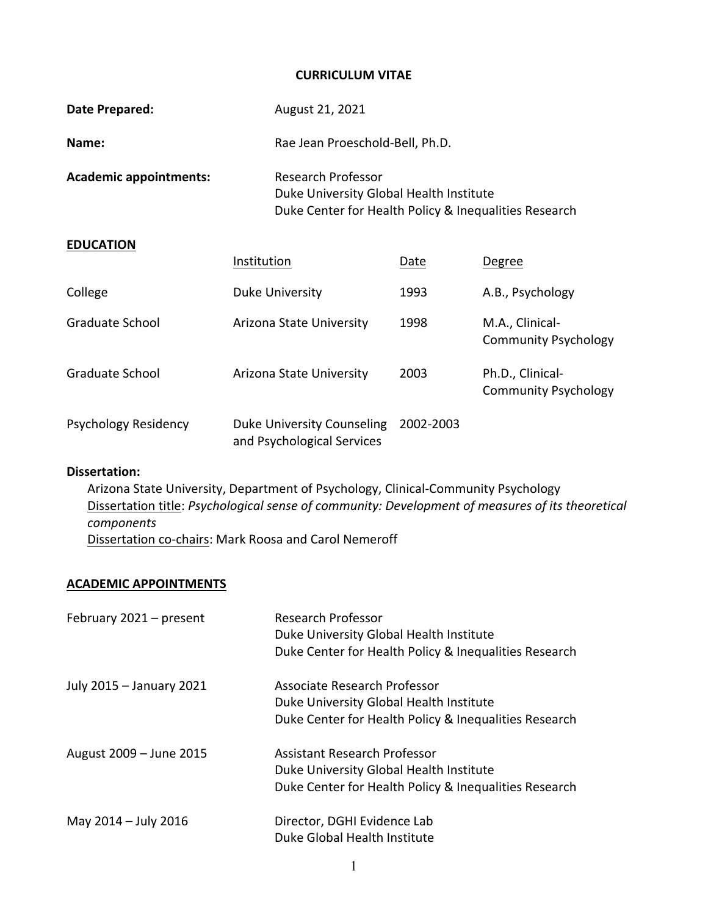### **CURRICULUM VITAE**

| August 21, 2021          |      |                                                                                                                                     |
|--------------------------|------|-------------------------------------------------------------------------------------------------------------------------------------|
|                          |      |                                                                                                                                     |
| Research Professor       |      |                                                                                                                                     |
|                          |      |                                                                                                                                     |
| Institution              | Date | Degree                                                                                                                              |
| Duke University          | 1993 | A.B., Psychology                                                                                                                    |
| Arizona State University | 1998 | M.A., Clinical-<br><b>Community Psychology</b>                                                                                      |
| Arizona State University | 2003 | Ph.D., Clinical-<br><b>Community Psychology</b>                                                                                     |
|                          |      | Rae Jean Proeschold-Bell, Ph.D.<br>Duke University Global Health Institute<br>Duke Center for Health Policy & Inequalities Research |

| Psychology Residency | Duke University Counseling 2002-2003 |  |
|----------------------|--------------------------------------|--|
|                      | and Psychological Services           |  |

## **Dissertation:**

Arizona State University, Department of Psychology, Clinical‐Community Psychology Dissertation title: *Psychological sense of community: Development of measures of its theoretical components* Dissertation co-chairs: Mark Roosa and Carol Nemeroff

### **ACADEMIC APPOINTMENTS**

| February 2021 – present  | <b>Research Professor</b><br>Duke University Global Health Institute<br>Duke Center for Health Policy & Inequalities Research           |
|--------------------------|-----------------------------------------------------------------------------------------------------------------------------------------|
| July 2015 - January 2021 | Associate Research Professor<br>Duke University Global Health Institute<br>Duke Center for Health Policy & Inequalities Research        |
| August 2009 - June 2015  | <b>Assistant Research Professor</b><br>Duke University Global Health Institute<br>Duke Center for Health Policy & Inequalities Research |
| May 2014 - July 2016     | Director, DGHI Evidence Lab<br>Duke Global Health Institute                                                                             |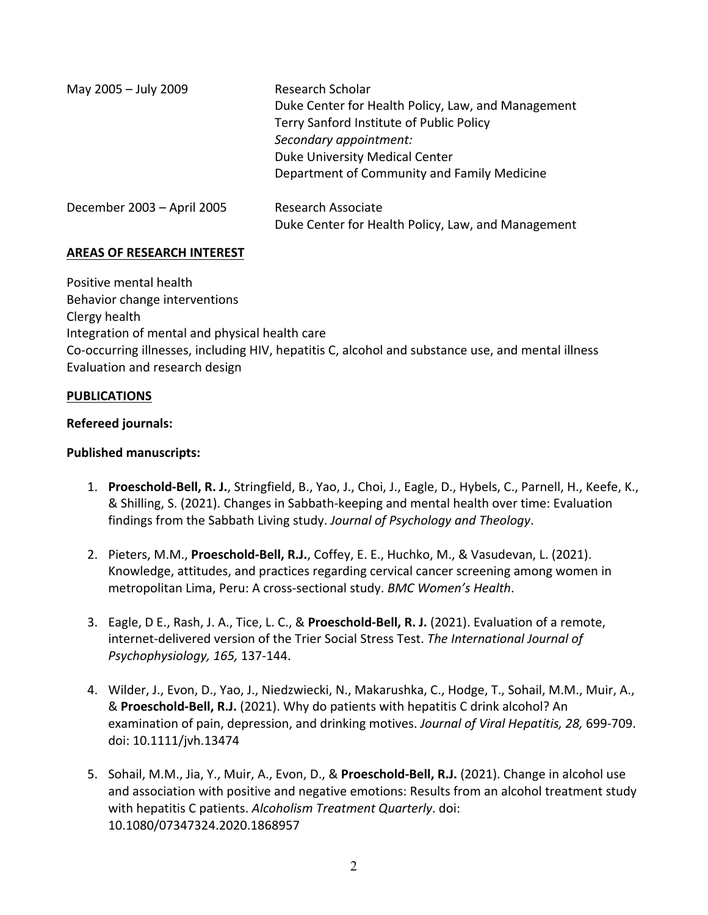| May 2005 - July 2009       | Research Scholar<br>Duke Center for Health Policy, Law, and Management<br>Terry Sanford Institute of Public Policy<br>Secondary appointment:<br>Duke University Medical Center<br>Department of Community and Family Medicine |
|----------------------------|-------------------------------------------------------------------------------------------------------------------------------------------------------------------------------------------------------------------------------|
| December 2003 - April 2005 | <b>Research Associate</b><br>Duke Center for Health Policy, Law, and Management                                                                                                                                               |

## **AREAS OF RESEARCH INTEREST**

Positive mental health Behavior change interventions Clergy health Integration of mental and physical health care Co‐occurring illnesses, including HIV, hepatitis C, alcohol and substance use, and mental illness Evaluation and research design

### **PUBLICATIONS**

### **Refereed journals:**

## **Published manuscripts:**

- 1. **Proeschold‐Bell, R. J.**, Stringfield, B., Yao, J., Choi, J., Eagle, D., Hybels, C., Parnell, H., Keefe, K., & Shilling, S. (2021). Changes in Sabbath‐keeping and mental health over time: Evaluation findings from the Sabbath Living study. *Journal of Psychology and Theology*.
- 2. Pieters, M.M., **Proeschold‐Bell, R.J.**, Coffey, E. E., Huchko, M., & Vasudevan, L. (2021). Knowledge, attitudes, and practices regarding cervical cancer screening among women in metropolitan Lima, Peru: A cross‐sectional study. *BMC Women's Health*.
- 3. Eagle, D E., Rash, J. A., Tice, L. C., & **Proeschold‐Bell, R. J.** (2021). Evaluation of a remote, internet‐delivered version of the Trier Social Stress Test. *The International Journal of Psychophysiology, 165,* 137‐144.
- 4. Wilder, J., Evon, D., Yao, J., Niedzwiecki, N., Makarushka, C., Hodge, T., Sohail, M.M., Muir, A., & **Proeschold‐Bell, R.J.** (2021). Why do patients with hepatitis C drink alcohol? An examination of pain, depression, and drinking motives. *Journal of Viral Hepatitis, 28,* 699‐709. doi: 10.1111/jvh.13474
- 5. Sohail, M.M., Jia, Y., Muir, A., Evon, D., & **Proeschold‐Bell, R.J.** (2021). Change in alcohol use and association with positive and negative emotions: Results from an alcohol treatment study with hepatitis C patients. *Alcoholism Treatment Quarterly*. doi: 10.1080/07347324.2020.1868957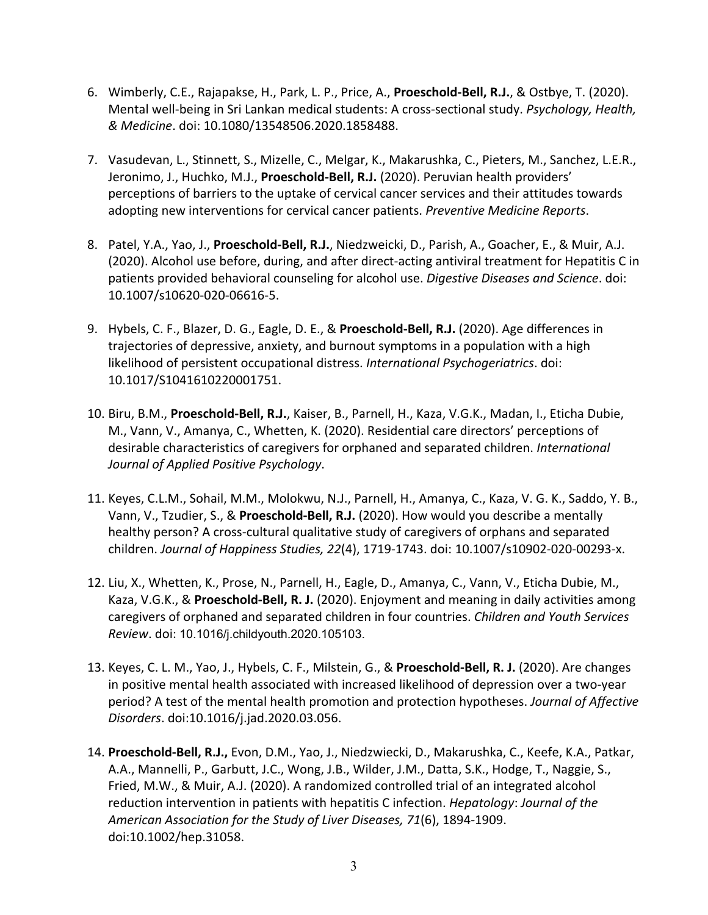- 6. Wimberly, C.E., Rajapakse, H., Park, L. P., Price, A., **Proeschold‐Bell, R.J.**, & Ostbye, T. (2020). Mental well‐being in Sri Lankan medical students: A cross‐sectional study. *Psychology, Health, & Medicine*. doi: 10.1080/13548506.2020.1858488.
- 7. Vasudevan, L., Stinnett, S., Mizelle, C., Melgar, K., Makarushka, C., Pieters, M., Sanchez, L.E.R., Jeronimo, J., Huchko, M.J., **Proeschold‐Bell, R.J.** (2020). Peruvian health providers' perceptions of barriers to the uptake of cervical cancer services and their attitudes towards adopting new interventions for cervical cancer patients. *Preventive Medicine Reports*.
- 8. Patel, Y.A., Yao, J., **Proeschold‐Bell, R.J.**, Niedzweicki, D., Parish, A., Goacher, E., & Muir, A.J. (2020). Alcohol use before, during, and after direct‐acting antiviral treatment for Hepatitis C in patients provided behavioral counseling for alcohol use. *Digestive Diseases and Science*. doi: 10.1007/s10620‐020‐06616‐5.
- 9. Hybels, C. F., Blazer, D. G., Eagle, D. E., & **Proeschold‐Bell, R.J.** (2020). Age differences in trajectories of depressive, anxiety, and burnout symptoms in a population with a high likelihood of persistent occupational distress. *International Psychogeriatrics*. doi: 10.1017/S1041610220001751.
- 10. Biru, B.M., **Proeschold‐Bell, R.J.**, Kaiser, B., Parnell, H., Kaza, V.G.K., Madan, I., Eticha Dubie, M., Vann, V., Amanya, C., Whetten, K. (2020). Residential care directors' perceptions of desirable characteristics of caregivers for orphaned and separated children. *International Journal of Applied Positive Psychology*.
- 11. Keyes, C.L.M., Sohail, M.M., Molokwu, N.J., Parnell, H., Amanya, C., Kaza, V. G. K., Saddo, Y. B., Vann, V., Tzudier, S., & **Proeschold‐Bell, R.J.** (2020). How would you describe a mentally healthy person? A cross-cultural qualitative study of caregivers of orphans and separated children. *Journal of Happiness Studies, 22*(4), 1719‐1743. doi: 10.1007/s10902‐020‐00293‐x.
- 12. Liu, X., Whetten, K., Prose, N., Parnell, H., Eagle, D., Amanya, C., Vann, V., Eticha Dubie, M., Kaza, V.G.K., & **Proeschold‐Bell, R. J.** (2020). Enjoyment and meaning in daily activities among caregivers of orphaned and separated children in four countries. *Children and Youth Services Review*. doi: 10.1016/j.childyouth.2020.105103.
- 13. Keyes, C. L. M., Yao, J., Hybels, C. F., Milstein, G., & **Proeschold‐Bell, R. J.** (2020). Are changes in positive mental health associated with increased likelihood of depression over a two‐year period? A test of the mental health promotion and protection hypotheses. *Journal of Affective Disorders*. doi:10.1016/j.jad.2020.03.056.
- 14. **Proeschold‐Bell, R.J.,** Evon, D.M., Yao, J., Niedzwiecki, D., Makarushka, C., Keefe, K.A., Patkar, A.A., Mannelli, P., Garbutt, J.C., Wong, J.B., Wilder, J.M., Datta, S.K., Hodge, T., Naggie, S., Fried, M.W., & Muir, A.J. (2020). A randomized controlled trial of an integrated alcohol reduction intervention in patients with hepatitis C infection. *Hepatology*: *Journal of the American Association for the Study of Liver Diseases, 71*(6), 1894‐1909. doi:10.1002/hep.31058.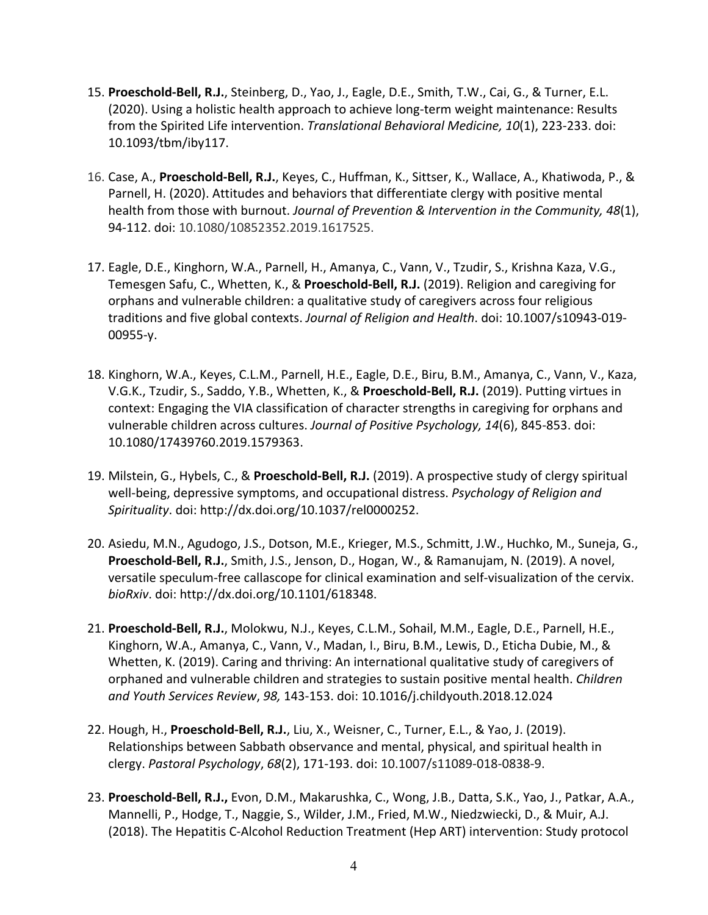- 15. **Proeschold‐Bell, R.J.**, Steinberg, D., Yao, J., Eagle, D.E., Smith, T.W., Cai, G., & Turner, E.L. (2020). Using a holistic health approach to achieve long‐term weight maintenance: Results from the Spirited Life intervention. *Translational Behavioral Medicine, 10*(1), 223‐233. doi: 10.1093/tbm/iby117.
- 16. Case, A., **Proeschold‐Bell, R.J.**, Keyes, C., Huffman, K., Sittser, K., Wallace, A., Khatiwoda, P., & Parnell, H. (2020). Attitudes and behaviors that differentiate clergy with positive mental health from those with burnout. *Journal of Prevention & Intervention in the Community, 48*(1), 94‐112. doi: 10.1080/10852352.2019.1617525.
- 17. Eagle, D.E., Kinghorn, W.A., Parnell, H., Amanya, C., Vann, V., Tzudir, S., Krishna Kaza, V.G., Temesgen Safu, C., Whetten, K., & **Proeschold‐Bell, R.J.** (2019). Religion and caregiving for orphans and vulnerable children: a qualitative study of caregivers across four religious traditions and five global contexts. *Journal of Religion and Health*. doi: 10.1007/s10943‐019‐ 00955‐y.
- 18. Kinghorn, W.A., Keyes, C.L.M., Parnell, H.E., Eagle, D.E., Biru, B.M., Amanya, C., Vann, V., Kaza, V.G.K., Tzudir, S., Saddo, Y.B., Whetten, K., & **Proeschold‐Bell, R.J.** (2019). Putting virtues in context: Engaging the VIA classification of character strengths in caregiving for orphans and vulnerable children across cultures. *Journal of Positive Psychology, 14*(6), 845‐853. doi: 10.1080/17439760.2019.1579363.
- 19. Milstein, G., Hybels, C., & **Proeschold‐Bell, R.J.** (2019). A prospective study of clergy spiritual well‐being, depressive symptoms, and occupational distress. *Psychology of Religion and Spirituality*. doi: http://dx.doi.org/10.1037/rel0000252.
- 20. Asiedu, M.N., Agudogo, J.S., Dotson, M.E., Krieger, M.S., Schmitt, J.W., Huchko, M., Suneja, G., **Proeschold‐Bell, R.J.**, Smith, J.S., Jenson, D., Hogan, W., & Ramanujam, N. (2019). A novel, versatile speculum‐free callascope for clinical examination and self‐visualization of the cervix. *bioRxiv*. doi: http://dx.doi.org/10.1101/618348.
- 21. **Proeschold‐Bell, R.J.**, Molokwu, N.J., Keyes, C.L.M., Sohail, M.M., Eagle, D.E., Parnell, H.E., Kinghorn, W.A., Amanya, C., Vann, V., Madan, I., Biru, B.M., Lewis, D., Eticha Dubie, M., & Whetten, K. (2019). Caring and thriving: An international qualitative study of caregivers of orphaned and vulnerable children and strategies to sustain positive mental health. *Children and Youth Services Review*, *98,* 143‐153. doi: 10.1016/j.childyouth.2018.12.024
- 22. Hough, H., **Proeschold‐Bell, R.J.**, Liu, X., Weisner, C., Turner, E.L., & Yao, J. (2019). Relationships between Sabbath observance and mental, physical, and spiritual health in clergy. *Pastoral Psychology*, *68*(2), 171‐193. doi: 10.1007/s11089‐018‐0838‐9.
- 23. **Proeschold‐Bell, R.J.,** Evon, D.M., Makarushka, C., Wong, J.B., Datta, S.K., Yao, J., Patkar, A.A., Mannelli, P., Hodge, T., Naggie, S., Wilder, J.M., Fried, M.W., Niedzwiecki, D., & Muir, A.J. (2018). The Hepatitis C‐Alcohol Reduction Treatment (Hep ART) intervention: Study protocol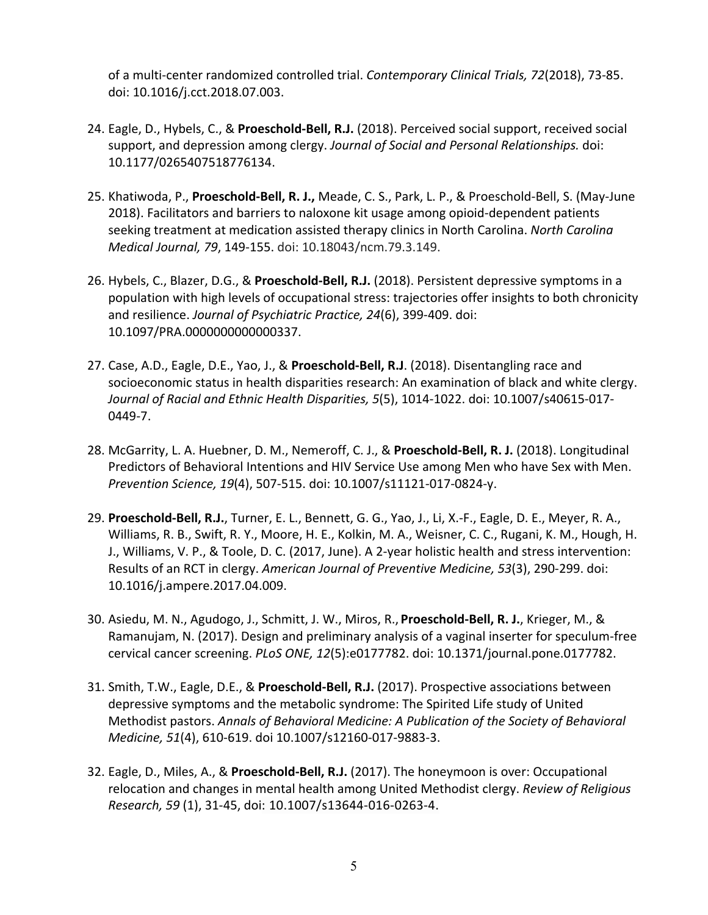of a multi‐center randomized controlled trial. *Contemporary Clinical Trials, 72*(2018), 73‐85. doi: 10.1016/j.cct.2018.07.003.

- 24. Eagle, D., Hybels, C., & **Proeschold‐Bell, R.J.** (2018). Perceived social support, received social support, and depression among clergy. *Journal of Social and Personal Relationships.* doi: 10.1177/0265407518776134.
- 25. Khatiwoda, P., **Proeschold‐Bell, R. J.,** Meade, C. S., Park, L. P., & Proeschold‐Bell, S. (May‐June 2018). Facilitators and barriers to naloxone kit usage among opioid‐dependent patients seeking treatment at medication assisted therapy clinics in North Carolina. *North Carolina Medical Journal, 79*, 149‐155. doi: 10.18043/ncm.79.3.149.
- 26. Hybels, C., Blazer, D.G., & **Proeschold‐Bell, R.J.** (2018). Persistent depressive symptoms in a population with high levels of occupational stress: trajectories offer insights to both chronicity and resilience. *Journal of Psychiatric Practice, 24*(6), 399‐409. doi: 10.1097/PRA.0000000000000337.
- 27. Case, A.D., Eagle, D.E., Yao, J., & **Proeschold‐Bell, R.J**. (2018). Disentangling race and socioeconomic status in health disparities research: An examination of black and white clergy. *Journal of Racial and Ethnic Health Disparities, 5*(5), 1014‐1022. doi: 10.1007/s40615‐017‐ 0449‐7.
- 28. McGarrity, L. A. Huebner, D. M., Nemeroff, C. J., & **Proeschold‐Bell, R. J.** (2018). Longitudinal Predictors of Behavioral Intentions and HIV Service Use among Men who have Sex with Men. *Prevention Science, 19*(4), 507‐515. doi: 10.1007/s11121‐017‐0824‐y.
- 29. **Proeschold‐Bell, R.J.**, Turner, E. L., Bennett, G. G., Yao, J., Li, X.‐F., Eagle, D. E., Meyer, R. A., Williams, R. B., Swift, R. Y., Moore, H. E., Kolkin, M. A., Weisner, C. C., Rugani, K. M., Hough, H. J., Williams, V. P., & Toole, D. C. (2017, June). A 2‐year holistic health and stress intervention: Results of an RCT in clergy. *American Journal of Preventive Medicine, 53*(3), 290‐299. doi: 10.1016/j.ampere.2017.04.009.
- 30. Asiedu, M. N., Agudogo, J., Schmitt, J. W., Miros, R., **Proeschold‐Bell, R. J.**, Krieger, M., & Ramanujam, N. (2017). Design and preliminary analysis of a vaginal inserter for speculum‐free cervical cancer screening. *PLoS ONE, 12*(5):e0177782. doi: 10.1371/journal.pone.0177782.
- 31. Smith, T.W., Eagle, D.E., & **Proeschold‐Bell, R.J.** (2017). Prospective associations between depressive symptoms and the metabolic syndrome: The Spirited Life study of United Methodist pastors. *Annals of Behavioral Medicine: A Publication of the Society of Behavioral Medicine, 51*(4), 610‐619. doi 10.1007/s12160‐017‐9883‐3.
- 32. Eagle, D., Miles, A., & **Proeschold‐Bell, R.J.** (2017). The honeymoon is over: Occupational relocation and changes in mental health among United Methodist clergy. *Review of Religious Research, 59* (1), 31‐45, doi: 10.1007/s13644‐016‐0263‐4.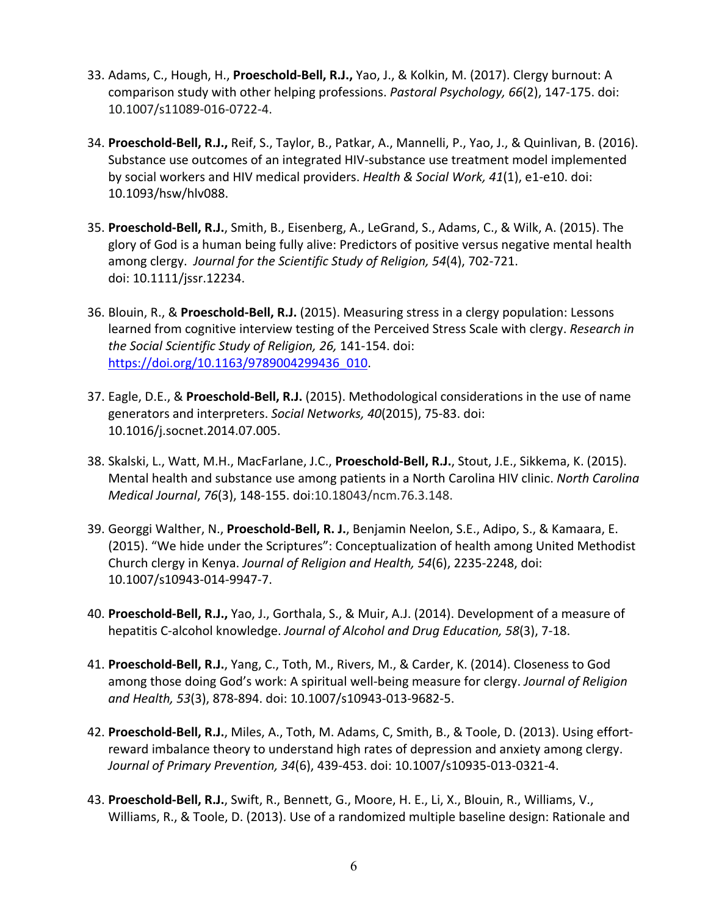- 33. Adams, C., Hough, H., **Proeschold‐Bell, R.J.,** Yao, J., & Kolkin, M. (2017). Clergy burnout: A comparison study with other helping professions. *Pastoral Psychology, 66*(2), 147‐175. doi: 10.1007/s11089‐016‐0722‐4.
- 34. **Proeschold‐Bell, R.J.,** Reif, S., Taylor, B., Patkar, A., Mannelli, P., Yao, J., & Quinlivan, B. (2016). Substance use outcomes of an integrated HIV‐substance use treatment model implemented by social workers and HIV medical providers. *Health & Social Work, 41*(1), e1‐e10. doi: 10.1093/hsw/hlv088.
- 35. **Proeschold‐Bell, R.J.**, Smith, B., Eisenberg, A., LeGrand, S., Adams, C., & Wilk, A. (2015). The glory of God is a human being fully alive: Predictors of positive versus negative mental health among clergy. *Journal for the Scientific Study of Religion, 54*(4), 702‐721. doi: 10.1111/jssr.12234.
- 36. Blouin, R., & **Proeschold‐Bell, R.J.** (2015). Measuring stress in a clergy population: Lessons learned from cognitive interview testing of the Perceived Stress Scale with clergy. *Research in the Social Scientific Study of Religion, 26,* 141‐154. doi: https://doi.org/10.1163/9789004299436\_010.
- 37. Eagle, D.E., & **Proeschold‐Bell, R.J.** (2015). Methodological considerations in the use of name generators and interpreters. *Social Networks, 40*(2015), 75‐83. doi: 10.1016/j.socnet.2014.07.005.
- 38. Skalski, L., Watt, M.H., MacFarlane, J.C., **Proeschold‐Bell, R.J.**, Stout, J.E., Sikkema, K. (2015). Mental health and substance use among patients in a North Carolina HIV clinic. *North Carolina Medical Journal*, *76*(3), 148‐155. doi:10.18043/ncm.76.3.148.
- 39. Georggi Walther, N., **Proeschold‐Bell, R. J.**, Benjamin Neelon, S.E., Adipo, S., & Kamaara, E. (2015). "We hide under the Scriptures": Conceptualization of health among United Methodist Church clergy in Kenya. *Journal of Religion and Health, 54*(6), 2235‐2248, doi: 10.1007/s10943‐014‐9947‐7.
- 40. **Proeschold‐Bell, R.J.,** Yao, J., Gorthala, S., & Muir, A.J. (2014). Development of a measure of hepatitis C‐alcohol knowledge. *Journal of Alcohol and Drug Education, 58*(3), 7‐18.
- 41. **Proeschold‐Bell, R.J.**, Yang, C., Toth, M., Rivers, M., & Carder, K. (2014). Closeness to God among those doing God's work: A spiritual well‐being measure for clergy. *Journal of Religion and Health, 53*(3), 878‐894. doi: 10.1007/s10943‐013‐9682‐5.
- 42. **Proeschold‐Bell, R.J.**, Miles, A., Toth, M. Adams, C, Smith, B., & Toole, D. (2013). Using effort‐ reward imbalance theory to understand high rates of depression and anxiety among clergy. *Journal of Primary Prevention, 34*(6), 439‐453. doi: 10.1007/s10935‐013‐0321‐4.
- 43. **Proeschold‐Bell, R.J.**, Swift, R., Bennett, G., Moore, H. E., Li, X., Blouin, R., Williams, V., Williams, R., & Toole, D. (2013). Use of a randomized multiple baseline design: Rationale and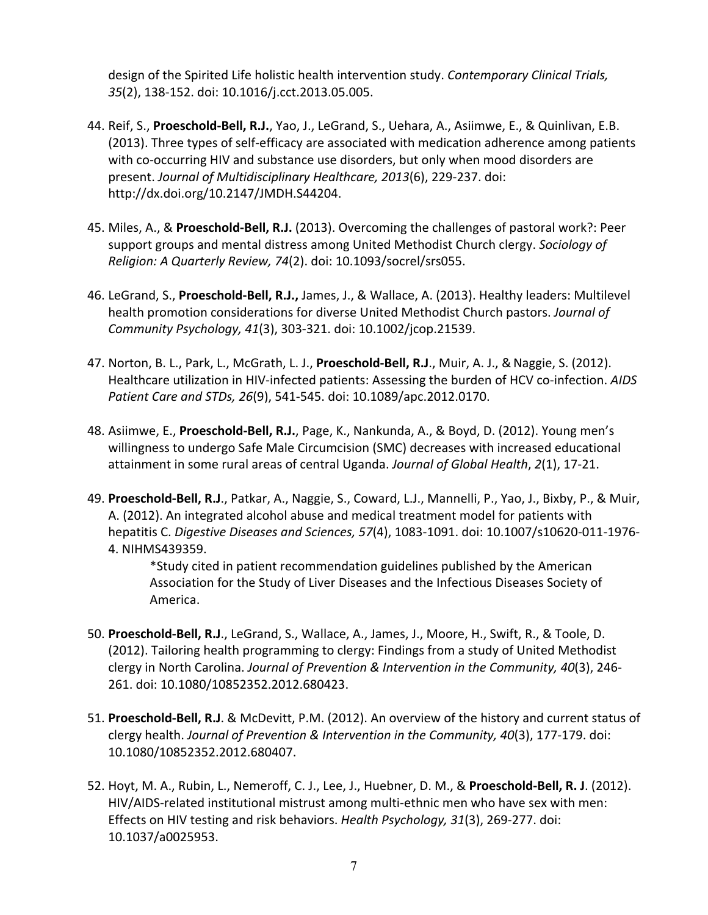design of the Spirited Life holistic health intervention study. *Contemporary Clinical Trials, 35*(2), 138‐152. doi: 10.1016/j.cct.2013.05.005.

- 44. Reif, S., **Proeschold‐Bell, R.J.**, Yao, J., LeGrand, S., Uehara, A., Asiimwe, E., & Quinlivan, E.B. (2013). Three types of self‐efficacy are associated with medication adherence among patients with co‐occurring HIV and substance use disorders, but only when mood disorders are present. *Journal of Multidisciplinary Healthcare, 2013*(6), 229‐237. doi: http://dx.doi.org/10.2147/JMDH.S44204.
- 45. Miles, A., & **Proeschold‐Bell, R.J.** (2013). Overcoming the challenges of pastoral work?: Peer support groups and mental distress among United Methodist Church clergy. *Sociology of Religion: A Quarterly Review, 74*(2). doi: 10.1093/socrel/srs055.
- 46. LeGrand, S., **Proeschold‐Bell, R.J.,** James, J., & Wallace, A. (2013). Healthy leaders: Multilevel health promotion considerations for diverse United Methodist Church pastors. *Journal of Community Psychology, 41*(3), 303‐321. doi: 10.1002/jcop.21539.
- 47. Norton, B. L., Park, L., McGrath, L. J., **Proeschold‐Bell, R.J**., Muir, A. J., &Naggie, S. (2012). Healthcare utilization in HIV‐infected patients: Assessing the burden of HCV co‐infection. *AIDS Patient Care and STDs, 26*(9), 541‐545. doi: 10.1089/apc.2012.0170.
- 48. Asiimwe, E., **Proeschold‐Bell, R.J.**, Page, K., Nankunda, A., & Boyd, D. (2012). Young men's willingness to undergo Safe Male Circumcision (SMC) decreases with increased educational attainment in some rural areas of central Uganda. *Journal of Global Health*, *2*(1), 17‐21.
- 49. **Proeschold‐Bell, R.J**., Patkar, A., Naggie, S., Coward, L.J., Mannelli, P., Yao, J., Bixby, P., & Muir, A. (2012). An integrated alcohol abuse and medical treatment model for patients with hepatitis C. *Digestive Diseases and Sciences, 57*(4), 1083‐1091. doi: 10.1007/s10620‐011‐1976‐ 4. NIHMS439359.

\*Study cited in patient recommendation guidelines published by the American Association for the Study of Liver Diseases and the Infectious Diseases Society of America.

- 50. **Proeschold‐Bell, R.J**., LeGrand, S., Wallace, A., James, J., Moore, H., Swift, R., & Toole, D. (2012). Tailoring health programming to clergy: Findings from a study of United Methodist clergy in North Carolina. *Journal of Prevention & Intervention in the Community, 40*(3), 246‐ 261. doi: 10.1080/10852352.2012.680423.
- 51. **Proeschold‐Bell, R.J**. & McDevitt, P.M. (2012). An overview of the history and current status of clergy health. *Journal of Prevention & Intervention in the Community, 40*(3), 177‐179. doi: 10.1080/10852352.2012.680407.
- 52. Hoyt, M. A., Rubin, L., Nemeroff, C. J., Lee, J., Huebner, D. M., & **Proeschold‐Bell, R. J**. (2012). HIV/AIDS‐related institutional mistrust among multi‐ethnic men who have sex with men: Effects on HIV testing and risk behaviors. *Health Psychology, 31*(3), 269‐277. doi: 10.1037/a0025953.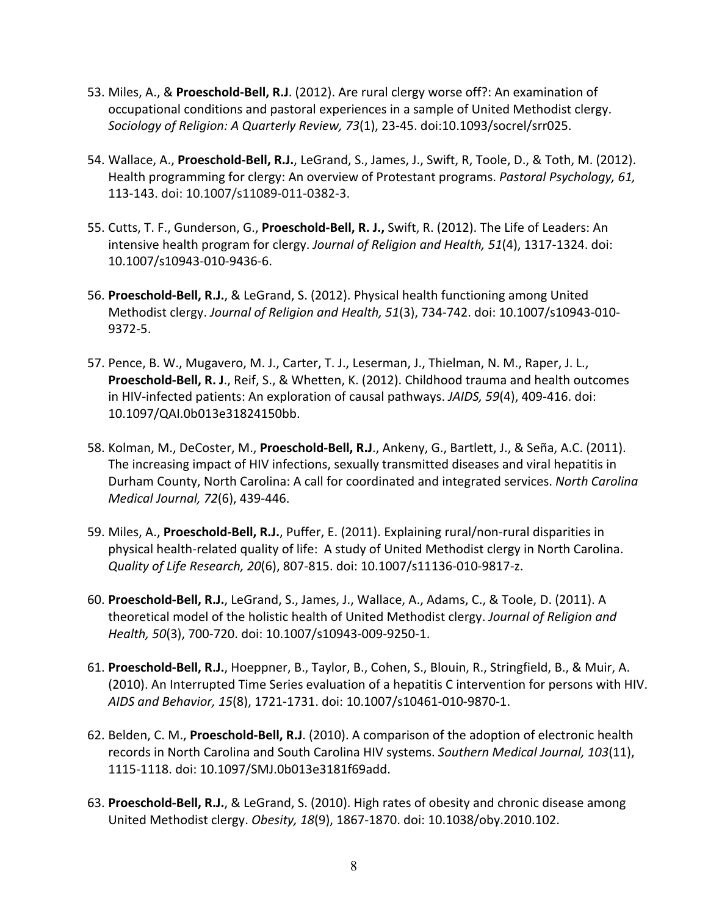- 53. Miles, A., & **Proeschold‐Bell, R.J**. (2012). Are rural clergy worse off?: An examination of occupational conditions and pastoral experiences in a sample of United Methodist clergy. *Sociology of Religion: A Quarterly Review, 73*(1), 23‐45. doi:10.1093/socrel/srr025.
- 54. Wallace, A., **Proeschold‐Bell, R.J.**, LeGrand, S., James, J., Swift, R, Toole, D., & Toth, M. (2012). Health programming for clergy: An overview of Protestant programs. *Pastoral Psychology, 61,* 113‐143. doi: 10.1007/s11089‐011‐0382‐3.
- 55. Cutts, T. F., Gunderson, G., **Proeschold‐Bell, R. J.,** Swift, R. (2012). The Life of Leaders: An intensive health program for clergy. *Journal of Religion and Health, 51*(4), 1317‐1324. doi: 10.1007/s10943‐010‐9436‐6.
- 56. **Proeschold‐Bell, R.J.**, & LeGrand, S. (2012). Physical health functioning among United Methodist clergy. *Journal of Religion and Health, 51*(3), 734‐742. doi: 10.1007/s10943‐010‐ 9372‐5.
- 57. Pence, B. W., Mugavero, M. J., Carter, T. J., Leserman, J., Thielman, N. M., Raper, J. L., **Proeschold‐Bell, R. J**., Reif, S., & Whetten, K. (2012). Childhood trauma and health outcomes in HIV‐infected patients: An exploration of causal pathways. *JAIDS, 59*(4), 409‐416. doi: 10.1097/QAI.0b013e31824150bb.
- 58. Kolman, M., DeCoster, M., **Proeschold‐Bell, R.J**., Ankeny, G., Bartlett, J., & Seña, A.C. (2011). The increasing impact of HIV infections, sexually transmitted diseases and viral hepatitis in Durham County, North Carolina: A call for coordinated and integrated services. *North Carolina Medical Journal, 72*(6), 439‐446.
- 59. Miles, A., **Proeschold‐Bell, R.J.**, Puffer, E. (2011). Explaining rural/non‐rural disparities in physical health‐related quality of life: A study of United Methodist clergy in North Carolina. *Quality of Life Research, 20*(6), 807‐815. doi: 10.1007/s11136‐010‐9817‐z.
- 60. **Proeschold‐Bell, R.J.**, LeGrand, S., James, J., Wallace, A., Adams, C., & Toole, D. (2011). A theoretical model of the holistic health of United Methodist clergy. *Journal of Religion and Health, 50*(3), 700‐720. doi: 10.1007/s10943‐009‐9250‐1.
- 61. **Proeschold‐Bell, R.J.**, Hoeppner, B., Taylor, B., Cohen, S., Blouin, R., Stringfield, B., & Muir, A. (2010). An Interrupted Time Series evaluation of a hepatitis C intervention for persons with HIV. *AIDS and Behavior, 15*(8), 1721‐1731. doi: 10.1007/s10461‐010‐9870‐1.
- 62. Belden, C. M., **Proeschold‐Bell, R.J**. (2010). A comparison of the adoption of electronic health records in North Carolina and South Carolina HIV systems. *Southern Medical Journal, 103*(11), 1115‐1118. doi: 10.1097/SMJ.0b013e3181f69add.
- 63. **Proeschold‐Bell, R.J.**, & LeGrand, S. (2010). High rates of obesity and chronic disease among United Methodist clergy. *Obesity, 18*(9), 1867‐1870. doi: 10.1038/oby.2010.102.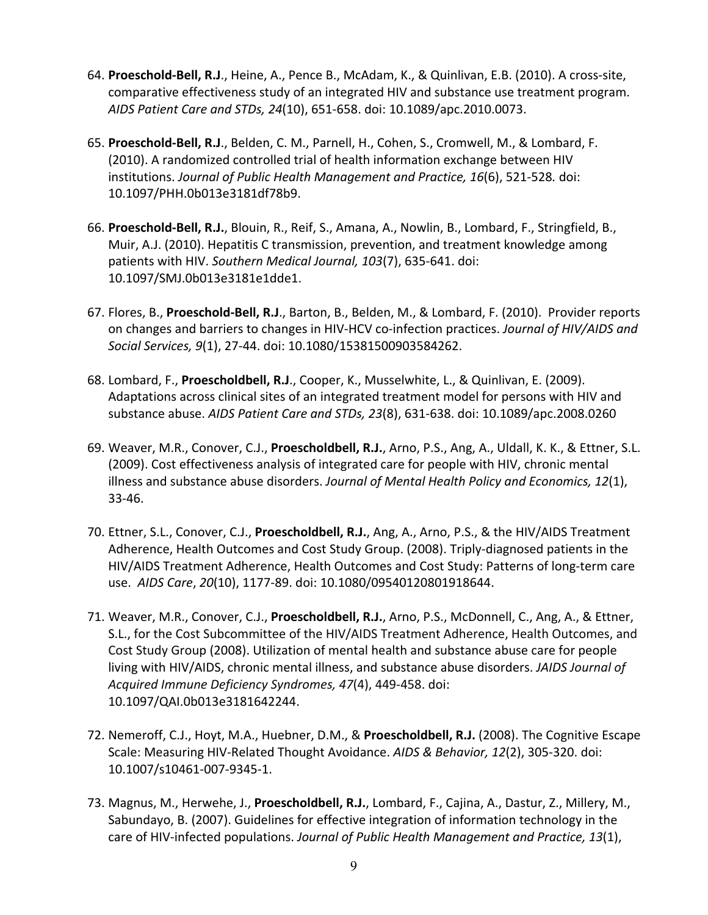- 64. **Proeschold‐Bell, R.J**., Heine, A., Pence B., McAdam, K., & Quinlivan, E.B. (2010). A cross‐site, comparative effectiveness study of an integrated HIV and substance use treatment program. *AIDS Patient Care and STDs, 24*(10), 651‐658. doi: 10.1089/apc.2010.0073.
- 65. **Proeschold‐Bell, R.J**., Belden, C. M., Parnell, H., Cohen, S., Cromwell, M., & Lombard, F. (2010). A randomized controlled trial of health information exchange between HIV institutions. *Journal of Public Health Management and Practice, 16*(6), 521‐528*.* doi: 10.1097/PHH.0b013e3181df78b9.
- 66. **Proeschold‐Bell, R.J.**, Blouin, R., Reif, S., Amana, A., Nowlin, B., Lombard, F., Stringfield, B., Muir, A.J. (2010). Hepatitis C transmission, prevention, and treatment knowledge among patients with HIV. *Southern Medical Journal, 103*(7), 635‐641. doi: 10.1097/SMJ.0b013e3181e1dde1.
- 67. Flores, B., **Proeschold‐Bell, R.J**., Barton, B., Belden, M., & Lombard, F. (2010). Provider reports on changes and barriers to changes in HIV‐HCV co‐infection practices. *Journal of HIV/AIDS and Social Services, 9*(1), 27‐44. doi: 10.1080/15381500903584262.
- 68. Lombard, F., **Proescholdbell, R.J**., Cooper, K., Musselwhite, L., & Quinlivan, E. (2009). Adaptations across clinical sites of an integrated treatment model for persons with HIV and substance abuse. *AIDS Patient Care and STDs, 23*(8), 631‐638. doi: 10.1089/apc.2008.0260
- 69. Weaver, M.R., Conover, C.J., **Proescholdbell, R.J.**, Arno, P.S., Ang, A., Uldall, K. K., & Ettner, S.L. (2009). Cost effectiveness analysis of integrated care for people with HIV, chronic mental illness and substance abuse disorders. *Journal of Mental Health Policy and Economics, 12*(1), 33‐46.
- 70. Ettner, S.L., Conover, C.J., **Proescholdbell, R.J.**, Ang, A., Arno, P.S., & the HIV/AIDS Treatment Adherence, Health Outcomes and Cost Study Group. (2008). Triply‐diagnosed patients in the HIV/AIDS Treatment Adherence, Health Outcomes and Cost Study: Patterns of long‐term care use. *AIDS Care*, *20*(10), 1177‐89. doi: 10.1080/09540120801918644.
- 71. Weaver, M.R., Conover, C.J., **Proescholdbell, R.J.**, Arno, P.S., McDonnell, C., Ang, A., & Ettner, S.L., for the Cost Subcommittee of the HIV/AIDS Treatment Adherence, Health Outcomes, and Cost Study Group (2008). Utilization of mental health and substance abuse care for people living with HIV/AIDS, chronic mental illness, and substance abuse disorders. *JAIDS Journal of Acquired Immune Deficiency Syndromes, 47*(4), 449‐458. doi: 10.1097/QAI.0b013e3181642244.
- 72. Nemeroff, C.J., Hoyt, M.A., Huebner, D.M., & **Proescholdbell, R.J.** (2008). The Cognitive Escape Scale: Measuring HIV‐Related Thought Avoidance. *AIDS & Behavior, 12*(2), 305‐320. doi: 10.1007/s10461‐007‐9345‐1.
- 73. Magnus, M., Herwehe, J., **Proescholdbell, R.J.**, Lombard, F., Cajina, A., Dastur, Z., Millery, M., Sabundayo, B. (2007). Guidelines for effective integration of information technology in the care of HIV‐infected populations. *Journal of Public Health Management and Practice, 13*(1),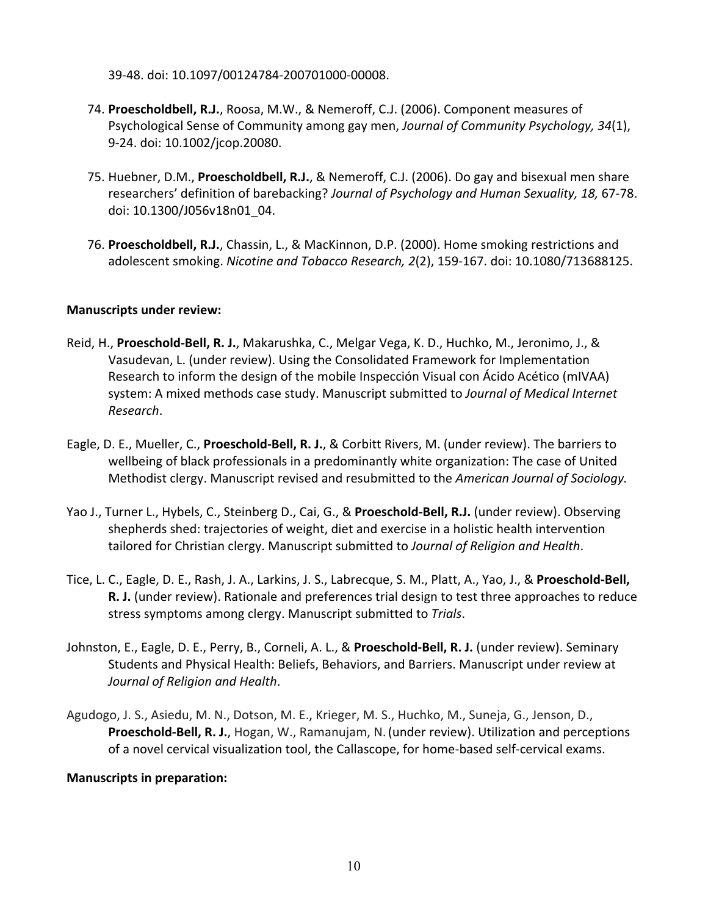39‐48. doi: 10.1097/00124784‐200701000‐00008.

- 74. **Proescholdbell, R.J.**, Roosa, M.W., & Nemeroff, C.J. (2006). Component measures of Psychological Sense of Community among gay men, *Journal of Community Psychology, 34*(1), 9‐24. doi: 10.1002/jcop.20080.
- 75. Huebner, D.M., **Proescholdbell, R.J.**, & Nemeroff, C.J. (2006). Do gay and bisexual men share researchers' definition of barebacking? *Journal of Psychology and Human Sexuality, 18,* 67‐78. doi: 10.1300/J056v18n01\_04.
- 76. **Proescholdbell, R.J.**, Chassin, L., & MacKinnon, D.P. (2000). Home smoking restrictions and adolescent smoking. *Nicotine and Tobacco Research, 2*(2), 159‐167. doi: 10.1080/713688125.

### **Manuscripts under review:**

- Reid, H., **Proeschold‐Bell, R. J.**, Makarushka, C., Melgar Vega, K. D., Huchko, M., Jeronimo, J., & Vasudevan, L. (under review). Using the Consolidated Framework for Implementation Research to inform the design of the mobile Inspección Visual con Ácido Acético (mIVAA) system: A mixed methods case study. Manuscript submitted to *Journal of Medical Internet Research*.
- Eagle, D. E., Mueller, C., **Proeschold‐Bell, R. J.**, & Corbitt Rivers, M. (under review). The barriers to wellbeing of black professionals in a predominantly white organization: The case of United Methodist clergy. Manuscript revised and resubmitted to the *American Journal of Sociology.*
- Yao J., Turner L., Hybels, C., Steinberg D., Cai, G., & **Proeschold‐Bell, R.J.** (under review). Observing shepherds shed: trajectories of weight, diet and exercise in a holistic health intervention tailored for Christian clergy. Manuscript submitted to *Journal of Religion and Health*.
- Tice, L. C., Eagle, D. E., Rash, J. A., Larkins, J. S., Labrecque, S. M., Platt, A., Yao, J., & **Proeschold‐Bell, R. J.** (under review). Rationale and preferences trial design to test three approaches to reduce stress symptoms among clergy. Manuscript submitted to *Trials*.
- Johnston, E., Eagle, D. E., Perry, B., Corneli, A. L., & **Proeschold‐Bell, R. J.** (under review). Seminary Students and Physical Health: Beliefs, Behaviors, and Barriers. Manuscript under review at *Journal of Religion and Health*.
- Agudogo, J. S., Asiedu, M. N., Dotson, M. E., Krieger, M. S., Huchko, M., Suneja, G., Jenson, D., **Proeschold‐Bell, R. J.**, Hogan, W., Ramanujam, N.(under review). Utilization and perceptions of a novel cervical visualization tool, the Callascope, for home‐based self‐cervical exams.

### **Manuscripts in preparation:**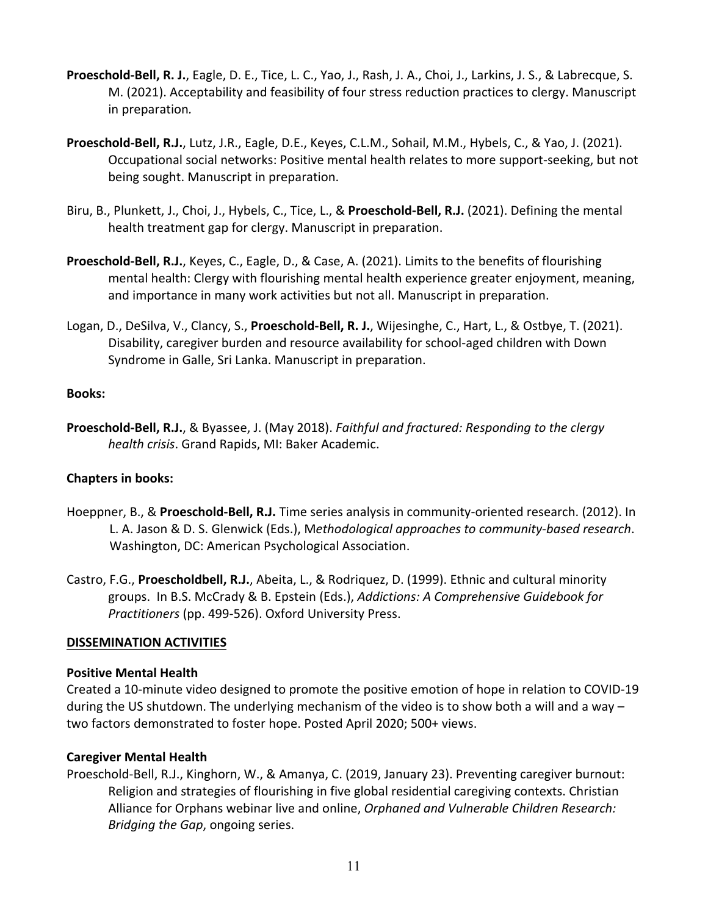- **Proeschold‐Bell, R. J.**, Eagle, D. E., Tice, L. C., Yao, J., Rash, J. A., Choi, J., Larkins, J. S., & Labrecque, S. M. (2021). Acceptability and feasibility of four stress reduction practices to clergy. Manuscript in preparation*.*
- **Proeschold‐Bell, R.J.**, Lutz, J.R., Eagle, D.E., Keyes, C.L.M., Sohail, M.M., Hybels, C., & Yao, J. (2021). Occupational social networks: Positive mental health relates to more support‐seeking, but not being sought. Manuscript in preparation.
- Biru, B., Plunkett, J., Choi, J., Hybels, C., Tice, L., & **Proeschold‐Bell, R.J.** (2021). Defining the mental health treatment gap for clergy. Manuscript in preparation.
- **Proeschold‐Bell, R.J.**, Keyes, C., Eagle, D., & Case, A. (2021). Limits to the benefits of flourishing mental health: Clergy with flourishing mental health experience greater enjoyment, meaning, and importance in many work activities but not all. Manuscript in preparation.
- Logan, D., DeSilva, V., Clancy, S., **Proeschold‐Bell, R. J.**, Wijesinghe, C., Hart, L., & Ostbye, T. (2021). Disability, caregiver burden and resource availability for school‐aged children with Down Syndrome in Galle, Sri Lanka. Manuscript in preparation.

### **Books:**

**Proeschold‐Bell, R.J.**, & Byassee, J. (May 2018). *Faithful and fractured: Responding to the clergy health crisis*. Grand Rapids, MI: Baker Academic.

## **Chapters in books:**

- Hoeppner, B., & **Proeschold‐Bell, R.J.** Time series analysis in community‐oriented research. (2012). In L. A. Jason & D. S. Glenwick (Eds.), M*ethodological approaches to community‐based research*. Washington, DC: American Psychological Association.
- Castro, F.G., **Proescholdbell, R.J.**, Abeita, L., & Rodriquez, D. (1999). Ethnic and cultural minority groups. In B.S. McCrady & B. Epstein (Eds.), *Addictions: A Comprehensive Guidebook for Practitioners* (pp. 499‐526). Oxford University Press.

## **DISSEMINATION ACTIVITIES**

### **Positive Mental Health**

Created a 10‐minute video designed to promote the positive emotion of hope in relation to COVID‐19 during the US shutdown. The underlying mechanism of the video is to show both a will and a way – two factors demonstrated to foster hope. Posted April 2020; 500+ views.

## **Caregiver Mental Health**

Proeschold‐Bell, R.J., Kinghorn, W., & Amanya, C. (2019, January 23). Preventing caregiver burnout: Religion and strategies of flourishing in five global residential caregiving contexts. Christian Alliance for Orphans webinar live and online, *Orphaned and Vulnerable Children Research: Bridging the Gap*, ongoing series.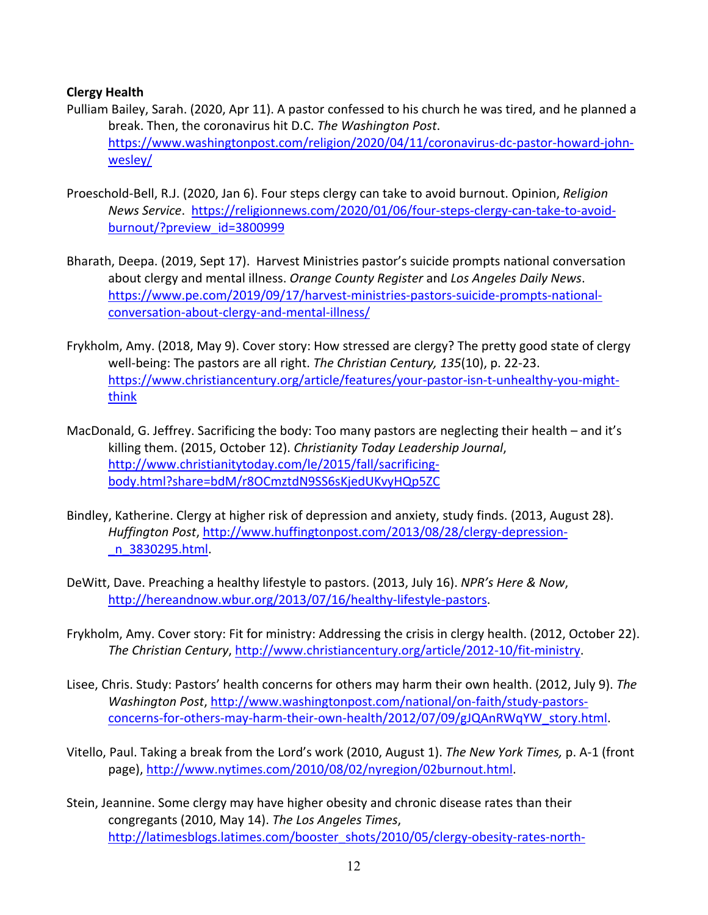## **Clergy Health**

- Pulliam Bailey, Sarah. (2020, Apr 11). A pastor confessed to his church he was tired, and he planned a break. Then, the coronavirus hit D.C. *The Washington Post*. https://www.washingtonpost.com/religion/2020/04/11/coronavirus‐dc‐pastor‐howard‐john‐ wesley/
- Proeschold‐Bell, R.J. (2020, Jan 6). Four steps clergy can take to avoid burnout. Opinion, *Religion News Service*. https://religionnews.com/2020/01/06/four‐steps‐clergy‐can‐take‐to‐avoid‐ burnout/?preview\_id=3800999
- Bharath, Deepa. (2019, Sept 17). Harvest Ministries pastor's suicide prompts national conversation about clergy and mental illness. *Orange County Register* and *Los Angeles Daily News*. https://www.pe.com/2019/09/17/harvest-ministries-pastors-suicide-prompts-nationalconversation‐about‐clergy‐and‐mental‐illness/
- Frykholm, Amy. (2018, May 9). Cover story: How stressed are clergy? The pretty good state of clergy well‐being: The pastors are all right. *The Christian Century, 135*(10), p. 22‐23. https://www.christiancentury.org/article/features/your-pastor-isn-t-unhealthy-you-mightthink
- MacDonald, G. Jeffrey. Sacrificing the body: Too many pastors are neglecting their health and it's killing them. (2015, October 12). *Christianity Today Leadership Journal*, http://www.christianitytoday.com/le/2015/fall/sacrificing‐ body.html?share=bdM/r8OCmztdN9SS6sKjedUKvyHQp5ZC
- Bindley, Katherine. Clergy at higher risk of depression and anxiety, study finds. (2013, August 28). *Huffington Post*, http://www.huffingtonpost.com/2013/08/28/clergy‐depression‐ \_n\_3830295.html.
- DeWitt, Dave. Preaching a healthy lifestyle to pastors. (2013, July 16). *NPR's Here & Now*, http://hereandnow.wbur.org/2013/07/16/healthy-lifestyle-pastors.
- Frykholm, Amy. Cover story: Fit for ministry: Addressing the crisis in clergy health. (2012, October 22). *The Christian Century*, http://www.christiancentury.org/article/2012‐10/fit‐ministry.
- Lisee, Chris. Study: Pastors' health concerns for others may harm their own health. (2012, July 9). *The Washington Post*, http://www.washingtonpost.com/national/on‐faith/study‐pastors‐ concerns-for-others-may-harm-their-own-health/2012/07/09/gJQAnRWqYW\_story.html.
- Vitello, Paul. Taking a break from the Lord's work (2010, August 1). *The New York Times,* p. A‐1 (front page), http://www.nytimes.com/2010/08/02/nyregion/02burnout.html.
- Stein, Jeannine. Some clergy may have higher obesity and chronic disease rates than their congregants (2010, May 14). *The Los Angeles Times*, http://latimesblogs.latimes.com/booster\_shots/2010/05/clergy-obesity-rates-north-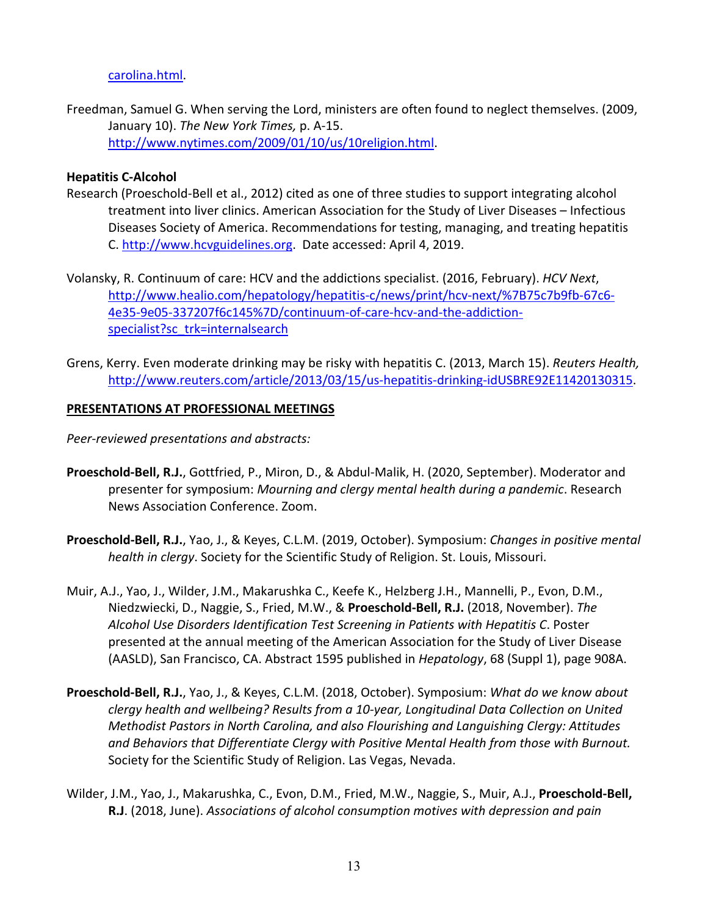### carolina.html.

Freedman, Samuel G. When serving the Lord, ministers are often found to neglect themselves. (2009, January 10). *The New York Times,* p. A‐15. http://www.nytimes.com/2009/01/10/us/10religion.html.

### **Hepatitis C‐Alcohol**

- Research (Proeschold‐Bell et al., 2012) cited as one of three studies to support integrating alcohol treatment into liver clinics. American Association for the Study of Liver Diseases – Infectious Diseases Society of America. Recommendations for testing, managing, and treating hepatitis C. http://www.hcvguidelines.org. Date accessed: April 4, 2019.
- Volansky, R. Continuum of care: HCV and the addictions specialist. (2016, February). *HCV Next*, http://www.healio.com/hepatology/hepatitis‐c/news/print/hcv‐next/%7B75c7b9fb‐67c6‐ 4e35‐9e05‐337207f6c145%7D/continuum‐of‐care‐hcv‐and‐the‐addiction‐ specialist?sc\_trk=internalsearch
- Grens, Kerry. Even moderate drinking may be risky with hepatitis C. (2013, March 15). *Reuters Health,* http://www.reuters.com/article/2013/03/15/us-hepatitis-drinking-idUSBRE92E11420130315.

### **PRESENTATIONS AT PROFESSIONAL MEETINGS**

*Peer‐reviewed presentations and abstracts:*

- **Proeschold‐Bell, R.J.**, Gottfried, P., Miron, D., & Abdul‐Malik, H. (2020, September). Moderator and presenter for symposium: *Mourning and clergy mental health during a pandemic*. Research News Association Conference. Zoom.
- **Proeschold‐Bell, R.J.**, Yao, J., & Keyes, C.L.M. (2019, October). Symposium: *Changes in positive mental health in clergy*. Society for the Scientific Study of Religion. St. Louis, Missouri.
- Muir, A.J., Yao, J., Wilder, J.M., Makarushka C., Keefe K., Helzberg J.H., Mannelli, P., Evon, D.M., Niedzwiecki, D., Naggie, S., Fried, M.W., & **Proeschold‐Bell, R.J.** (2018, November). *The Alcohol Use Disorders Identification Test Screening in Patients with Hepatitis C*. Poster presented at the annual meeting of the American Association for the Study of Liver Disease (AASLD), San Francisco, CA. Abstract 1595 published in *Hepatology*, 68 (Suppl 1), page 908A.
- **Proeschold‐Bell, R.J.**, Yao, J., & Keyes, C.L.M. (2018, October). Symposium: *What do we know about clergy health and wellbeing? Results from a 10‐year, Longitudinal Data Collection on United Methodist Pastors in North Carolina, and also Flourishing and Languishing Clergy: Attitudes and Behaviors that Differentiate Clergy with Positive Mental Health from those with Burnout.* Society for the Scientific Study of Religion. Las Vegas, Nevada.
- Wilder, J.M., Yao, J., Makarushka, C., Evon, D.M., Fried, M.W., Naggie, S., Muir, A.J., **Proeschold‐Bell, R.J**. (2018, June). *Associations of alcohol consumption motives with depression and pain*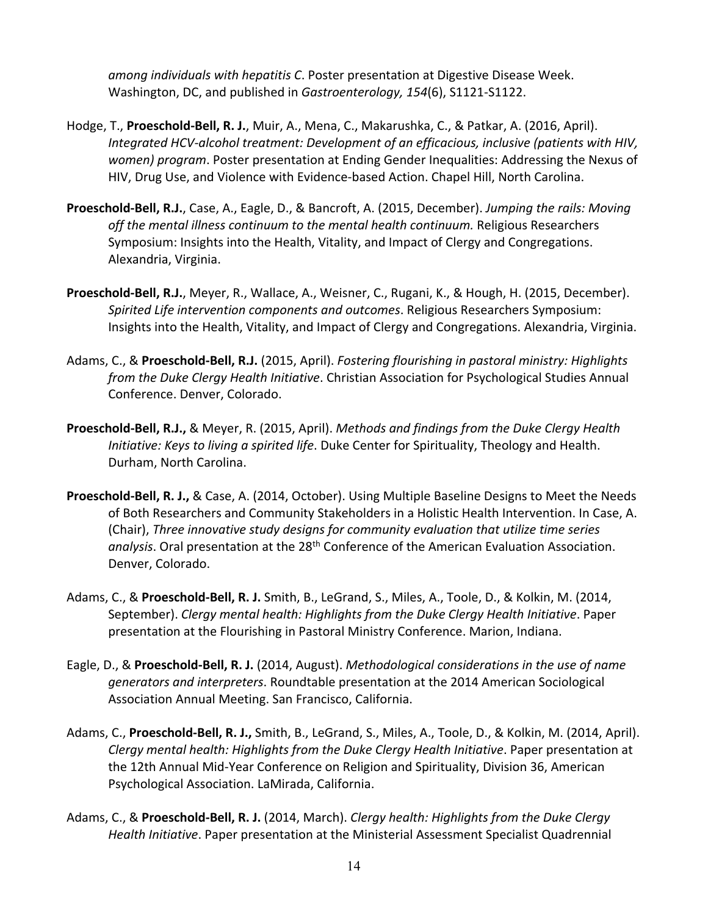*among individuals with hepatitis C*. Poster presentation at Digestive Disease Week. Washington, DC, and published in *Gastroenterology, 154*(6), S1121‐S1122.

- Hodge, T., **Proeschold‐Bell, R. J.**, Muir, A., Mena, C., Makarushka, C., & Patkar, A. (2016, April). *Integrated HCV‐alcohol treatment: Development of an efficacious, inclusive (patients with HIV, women) program*. Poster presentation at Ending Gender Inequalities: Addressing the Nexus of HIV, Drug Use, and Violence with Evidence‐based Action. Chapel Hill, North Carolina.
- **Proeschold‐Bell, R.J.**, Case, A., Eagle, D., & Bancroft, A. (2015, December). *Jumping the rails: Moving off the mental illness continuum to the mental health continuum.* Religious Researchers Symposium: Insights into the Health, Vitality, and Impact of Clergy and Congregations. Alexandria, Virginia.
- **Proeschold‐Bell, R.J.**, Meyer, R., Wallace, A., Weisner, C., Rugani, K., & Hough, H. (2015, December). *Spirited Life intervention components and outcomes*. Religious Researchers Symposium: Insights into the Health, Vitality, and Impact of Clergy and Congregations. Alexandria, Virginia.
- Adams, C., & **Proeschold‐Bell, R.J.** (2015, April). *Fostering flourishing in pastoral ministry: Highlights from the Duke Clergy Health Initiative*. Christian Association for Psychological Studies Annual Conference. Denver, Colorado.
- **Proeschold‐Bell, R.J.,** & Meyer, R. (2015, April). *Methods and findings from the Duke Clergy Health Initiative: Keys to living a spirited life*. Duke Center for Spirituality, Theology and Health. Durham, North Carolina.
- **Proeschold‐Bell, R. J.,** & Case, A. (2014, October). Using Multiple Baseline Designs to Meet the Needs of Both Researchers and Community Stakeholders in a Holistic Health Intervention. In Case, A. (Chair), *Three innovative study designs for community evaluation that utilize time series* analysis. Oral presentation at the 28<sup>th</sup> Conference of the American Evaluation Association. Denver, Colorado.
- Adams, C., & **Proeschold‐Bell, R. J.** Smith, B., LeGrand, S., Miles, A., Toole, D., & Kolkin, M. (2014, September). *Clergy mental health: Highlights from the Duke Clergy Health Initiative*. Paper presentation at the Flourishing in Pastoral Ministry Conference. Marion, Indiana.
- Eagle, D., & **Proeschold‐Bell, R. J.** (2014, August). *Methodological considerations in the use of name generators and interpreters*. Roundtable presentation at the 2014 American Sociological Association Annual Meeting. San Francisco, California.
- Adams, C., **Proeschold‐Bell, R. J.,** Smith, B., LeGrand, S., Miles, A., Toole, D., & Kolkin, M. (2014, April). *Clergy mental health: Highlights from the Duke Clergy Health Initiative*. Paper presentation at the 12th Annual Mid‐Year Conference on Religion and Spirituality, Division 36, American Psychological Association. LaMirada, California.
- Adams, C., & **Proeschold‐Bell, R. J.** (2014, March). *Clergy health: Highlights from the Duke Clergy Health Initiative*. Paper presentation at the Ministerial Assessment Specialist Quadrennial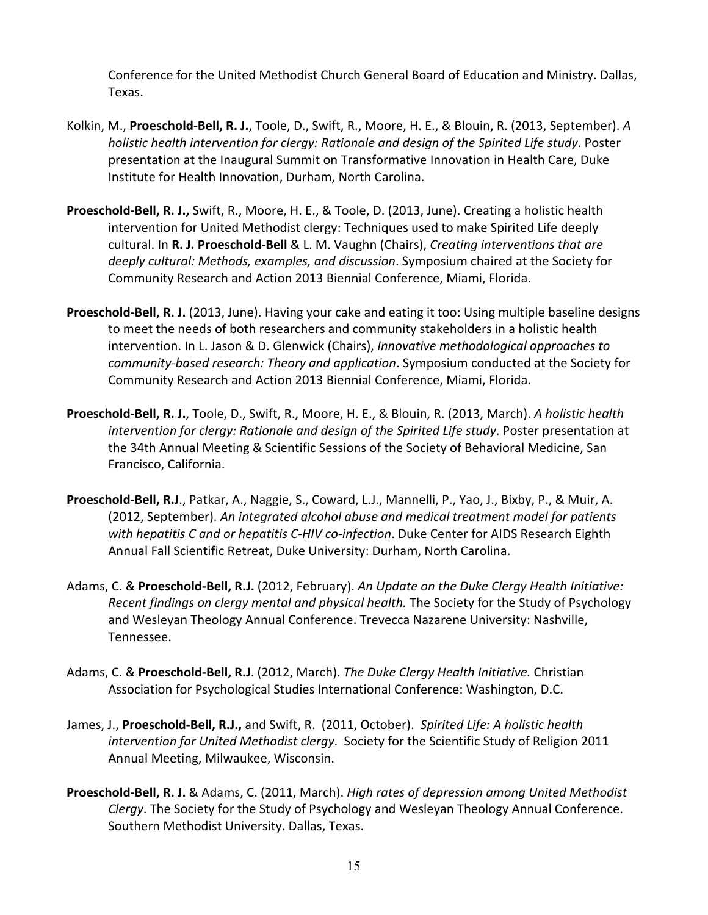Conference for the United Methodist Church General Board of Education and Ministry. Dallas, Texas.

- Kolkin, M., **Proeschold‐Bell, R. J.**, Toole, D., Swift, R., Moore, H. E., & Blouin, R. (2013, September). *A holistic health intervention for clergy: Rationale and design of the Spirited Life study*. Poster presentation at the Inaugural Summit on Transformative Innovation in Health Care, Duke Institute for Health Innovation, Durham, North Carolina.
- **Proeschold‐Bell, R. J.,** Swift, R., Moore, H. E., & Toole, D. (2013, June). Creating a holistic health intervention for United Methodist clergy: Techniques used to make Spirited Life deeply cultural. In **R. J. Proeschold‐Bell** & L. M. Vaughn (Chairs), *Creating interventions that are deeply cultural: Methods, examples, and discussion*. Symposium chaired at the Society for Community Research and Action 2013 Biennial Conference, Miami, Florida.
- **Proeschold‐Bell, R. J.** (2013, June). Having your cake and eating it too: Using multiple baseline designs to meet the needs of both researchers and community stakeholders in a holistic health intervention. In L. Jason & D. Glenwick (Chairs), *Innovative methodological approaches to community‐based research: Theory and application*. Symposium conducted at the Society for Community Research and Action 2013 Biennial Conference, Miami, Florida.
- **Proeschold‐Bell, R. J.**, Toole, D., Swift, R., Moore, H. E., & Blouin, R. (2013, March). *A holistic health intervention for clergy: Rationale and design of the Spirited Life study*. Poster presentation at the 34th Annual Meeting & Scientific Sessions of the Society of Behavioral Medicine, San Francisco, California.
- **Proeschold‐Bell, R.J**., Patkar, A., Naggie, S., Coward, L.J., Mannelli, P., Yao, J., Bixby, P., & Muir, A. (2012, September). *An integrated alcohol abuse and medical treatment model for patients with hepatitis C and or hepatitis C‐HIV co‐infection*. Duke Center for AIDS Research Eighth Annual Fall Scientific Retreat, Duke University: Durham, North Carolina.
- Adams, C. & **Proeschold‐Bell, R.J.** (2012, February). *An Update on the Duke Clergy Health Initiative: Recent findings on clergy mental and physical health.* The Society for the Study of Psychology and Wesleyan Theology Annual Conference. Trevecca Nazarene University: Nashville, Tennessee.
- Adams, C. & **Proeschold‐Bell, R.J**. (2012, March). *The Duke Clergy Health Initiative.* Christian Association for Psychological Studies International Conference: Washington, D.C.
- James, J., **Proeschold‐Bell, R.J.,** and Swift, R. (2011, October). *Spirited Life: A holistic health intervention for United Methodist clergy*. Society for the Scientific Study of Religion 2011 Annual Meeting, Milwaukee, Wisconsin.
- **Proeschold‐Bell, R. J.** & Adams, C. (2011, March). *High rates of depression among United Methodist Clergy*. The Society for the Study of Psychology and Wesleyan Theology Annual Conference. Southern Methodist University. Dallas, Texas.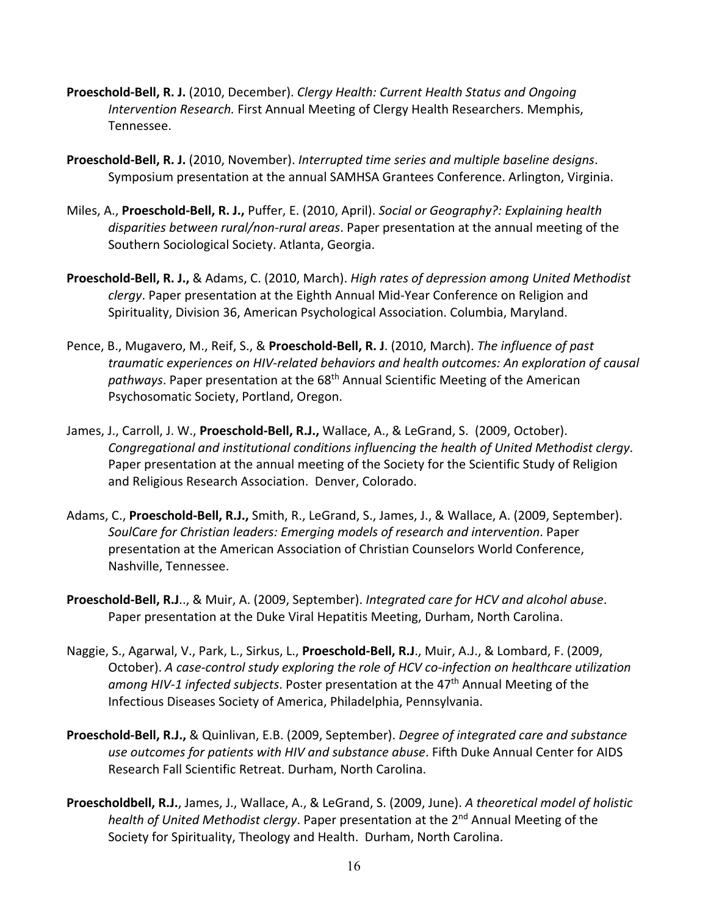- **Proeschold‐Bell, R. J.** (2010, December). *Clergy Health: Current Health Status and Ongoing Intervention Research.* First Annual Meeting of Clergy Health Researchers. Memphis, Tennessee.
- **Proeschold‐Bell, R. J.** (2010, November). *Interrupted time series and multiple baseline designs*. Symposium presentation at the annual SAMHSA Grantees Conference. Arlington, Virginia.
- Miles, A., **Proeschold‐Bell, R. J.,** Puffer, E. (2010, April). *Social or Geography?: Explaining health disparities between rural/non‐rural areas*. Paper presentation at the annual meeting of the Southern Sociological Society. Atlanta, Georgia.
- **Proeschold‐Bell, R. J.,** & Adams, C. (2010, March). *High rates of depression among United Methodist clergy*. Paper presentation at the Eighth Annual Mid‐Year Conference on Religion and Spirituality, Division 36, American Psychological Association. Columbia, Maryland.
- Pence, B., Mugavero, M., Reif, S., & **Proeschold‐Bell, R. J**. (2010, March). *The influence of past traumatic experiences on HIV‐related behaviors and health outcomes: An exploration of causal* pathways. Paper presentation at the 68<sup>th</sup> Annual Scientific Meeting of the American Psychosomatic Society, Portland, Oregon.
- James, J., Carroll, J. W., **Proeschold‐Bell, R.J.,** Wallace, A., & LeGrand, S. (2009, October). *Congregational and institutional conditions influencing the health of United Methodist clergy*. Paper presentation at the annual meeting of the Society for the Scientific Study of Religion and Religious Research Association. Denver, Colorado.
- Adams, C., **Proeschold‐Bell, R.J.,** Smith, R., LeGrand, S., James, J., & Wallace, A. (2009, September). *SoulCare for Christian leaders: Emerging models of research and intervention*. Paper presentation at the American Association of Christian Counselors World Conference, Nashville, Tennessee.
- **Proeschold‐Bell, R.J**.., & Muir, A. (2009, September). *Integrated care for HCV and alcohol abuse*. Paper presentation at the Duke Viral Hepatitis Meeting, Durham, North Carolina.
- Naggie, S., Agarwal, V., Park, L., Sirkus, L., **Proeschold‐Bell, R.J**., Muir, A.J., & Lombard, F. (2009, October). *A case‐control study exploring the role of HCV co‐infection on healthcare utilization among HIV‐1 infected subjects*. Poster presentation at the 47th Annual Meeting of the Infectious Diseases Society of America, Philadelphia, Pennsylvania.
- **Proeschold‐Bell, R.J.,** & Quinlivan, E.B. (2009, September). *Degree of integrated care and substance use outcomes for patients with HIV and substance abuse*. Fifth Duke Annual Center for AIDS Research Fall Scientific Retreat. Durham, North Carolina.
- **Proescholdbell, R.J.**, James, J., Wallace, A., & LeGrand, S. (2009, June). *A theoretical model of holistic health of United Methodist clergy*. Paper presentation at the 2nd Annual Meeting of the Society for Spirituality, Theology and Health. Durham, North Carolina.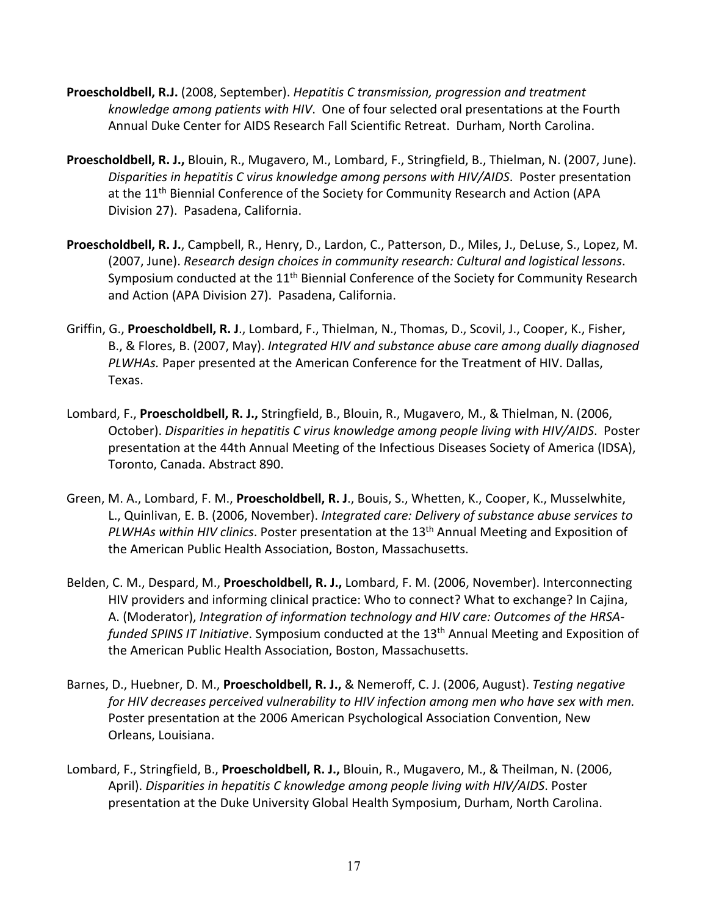- **Proescholdbell, R.J.** (2008, September). *Hepatitis C transmission, progression and treatment knowledge among patients with HIV*. One of four selected oral presentations at the Fourth Annual Duke Center for AIDS Research Fall Scientific Retreat. Durham, North Carolina.
- **Proescholdbell, R. J.,** Blouin, R., Mugavero, M., Lombard, F., Stringfield, B., Thielman, N. (2007, June). *Disparities in hepatitis C virus knowledge among persons with HIV/AIDS*. Poster presentation at the 11<sup>th</sup> Biennial Conference of the Society for Community Research and Action (APA Division 27). Pasadena, California.
- **Proescholdbell, R. J.**, Campbell, R., Henry, D., Lardon, C., Patterson, D., Miles, J., DeLuse, S., Lopez, M. (2007, June). *Research design choices in community research: Cultural and logistical lessons*. Symposium conducted at the 11<sup>th</sup> Biennial Conference of the Society for Community Research and Action (APA Division 27). Pasadena, California.
- Griffin, G., **Proescholdbell, R. J**., Lombard, F., Thielman, N., Thomas, D., Scovil, J., Cooper, K., Fisher, B., & Flores, B. (2007, May). *Integrated HIV and substance abuse care among dually diagnosed PLWHAs.* Paper presented at the American Conference for the Treatment of HIV. Dallas, Texas.
- Lombard, F., **Proescholdbell, R. J.,** Stringfield, B., Blouin, R., Mugavero, M., & Thielman, N. (2006, October). *Disparities in hepatitis C virus knowledge among people living with HIV/AIDS*. Poster presentation at the 44th Annual Meeting of the Infectious Diseases Society of America (IDSA), Toronto, Canada. Abstract 890.
- Green, M. A., Lombard, F. M., **Proescholdbell, R. J**., Bouis, S., Whetten, K., Cooper, K., Musselwhite, L., Quinlivan, E. B. (2006, November). *Integrated care: Delivery of substance abuse services to PLWHAs within HIV clinics*. Poster presentation at the 13th Annual Meeting and Exposition of the American Public Health Association, Boston, Massachusetts.
- Belden, C. M., Despard, M., **Proescholdbell, R. J.,** Lombard, F. M. (2006, November). Interconnecting HIV providers and informing clinical practice: Who to connect? What to exchange? In Cajina, A. (Moderator), *Integration of information technology and HIV care: Outcomes of the HRSA‐ funded SPINS IT Initiative*. Symposium conducted at the 13th Annual Meeting and Exposition of the American Public Health Association, Boston, Massachusetts.
- Barnes, D., Huebner, D. M., **Proescholdbell, R. J.,** & Nemeroff, C. J. (2006, August). *Testing negative for HIV decreases perceived vulnerability to HIV infection among men who have sex with men.* Poster presentation at the 2006 American Psychological Association Convention, New Orleans, Louisiana.
- Lombard, F., Stringfield, B., **Proescholdbell, R. J.,** Blouin, R., Mugavero, M., & Theilman, N. (2006, April). *Disparities in hepatitis C knowledge among people living with HIV/AIDS*. Poster presentation at the Duke University Global Health Symposium, Durham, North Carolina.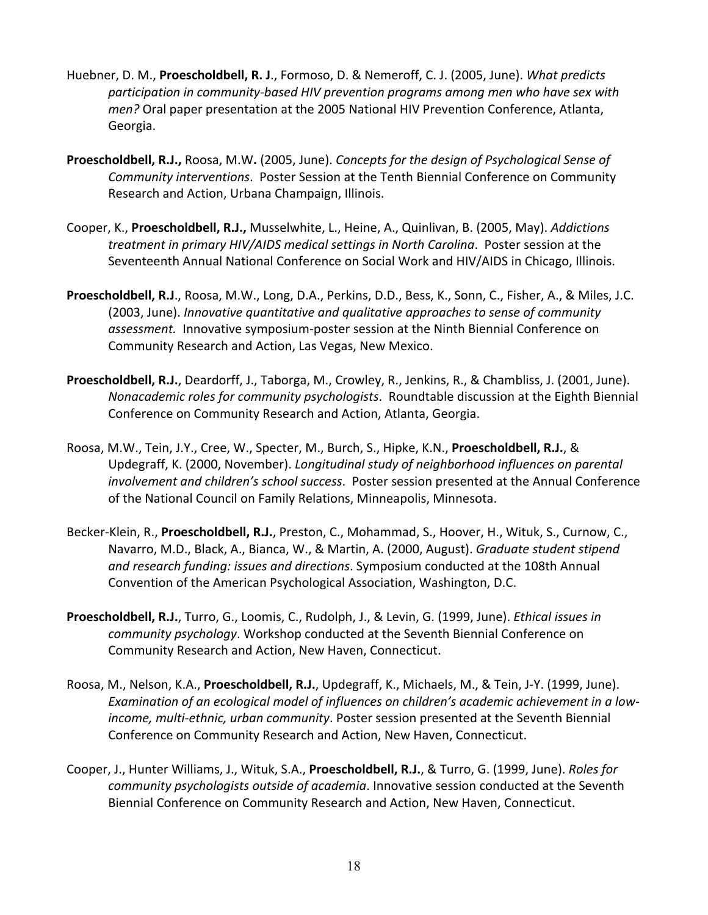- Huebner, D. M., **Proescholdbell, R. J**., Formoso, D. & Nemeroff, C. J. (2005, June). *What predicts participation in community‐based HIV prevention programs among men who have sex with men?* Oral paper presentation at the 2005 National HIV Prevention Conference, Atlanta, Georgia.
- **Proescholdbell, R.J.,** Roosa, M.W**.** (2005, June). *Concepts for the design of Psychological Sense of Community interventions*.Poster Session at the Tenth Biennial Conference on Community Research and Action, Urbana Champaign, Illinois.
- Cooper, K., **Proescholdbell, R.J.,** Musselwhite, L., Heine, A., Quinlivan, B. (2005, May). *Addictions treatment in primary HIV/AIDS medical settings in North Carolina*. Poster session at the Seventeenth Annual National Conference on Social Work and HIV/AIDS in Chicago, Illinois.
- **Proescholdbell, R.J**., Roosa, M.W., Long, D.A., Perkins, D.D., Bess, K., Sonn, C., Fisher, A., & Miles, J.C. (2003, June). *Innovative quantitative and qualitative approaches to sense of community assessment.* Innovative symposium‐poster session at the Ninth Biennial Conference on Community Research and Action, Las Vegas, New Mexico.
- **Proescholdbell, R.J.**, Deardorff, J., Taborga, M., Crowley, R., Jenkins, R., & Chambliss, J. (2001, June). *Nonacademic roles for community psychologists*. Roundtable discussion at the Eighth Biennial Conference on Community Research and Action, Atlanta, Georgia.
- Roosa, M.W., Tein, J.Y., Cree, W., Specter, M., Burch, S., Hipke, K.N., **Proescholdbell, R.J.**, & Updegraff, K. (2000, November). *Longitudinal study of neighborhood influences on parental involvement and children's school success*. Poster session presented at the Annual Conference of the National Council on Family Relations, Minneapolis, Minnesota.
- Becker‐Klein, R., **Proescholdbell, R.J.**, Preston, C., Mohammad, S., Hoover, H., Wituk, S., Curnow, C., Navarro, M.D., Black, A., Bianca, W., & Martin, A. (2000, August). *Graduate student stipend and research funding: issues and directions*. Symposium conducted at the 108th Annual Convention of the American Psychological Association, Washington, D.C.
- **Proescholdbell, R.J.**, Turro, G., Loomis, C., Rudolph, J., & Levin, G. (1999, June). *Ethical issues in community psychology*. Workshop conducted at the Seventh Biennial Conference on Community Research and Action, New Haven, Connecticut.
- Roosa, M., Nelson, K.A., **Proescholdbell, R.J.**, Updegraff, K., Michaels, M., & Tein, J‐Y. (1999, June). *Examination of an ecological model of influences on children's academic achievement in a low‐ income, multi‐ethnic, urban community*. Poster session presented at the Seventh Biennial Conference on Community Research and Action, New Haven, Connecticut.
- Cooper, J., Hunter Williams, J., Wituk, S.A., **Proescholdbell, R.J.**, & Turro, G. (1999, June). *Roles for community psychologists outside of academia*. Innovative session conducted at the Seventh Biennial Conference on Community Research and Action, New Haven, Connecticut.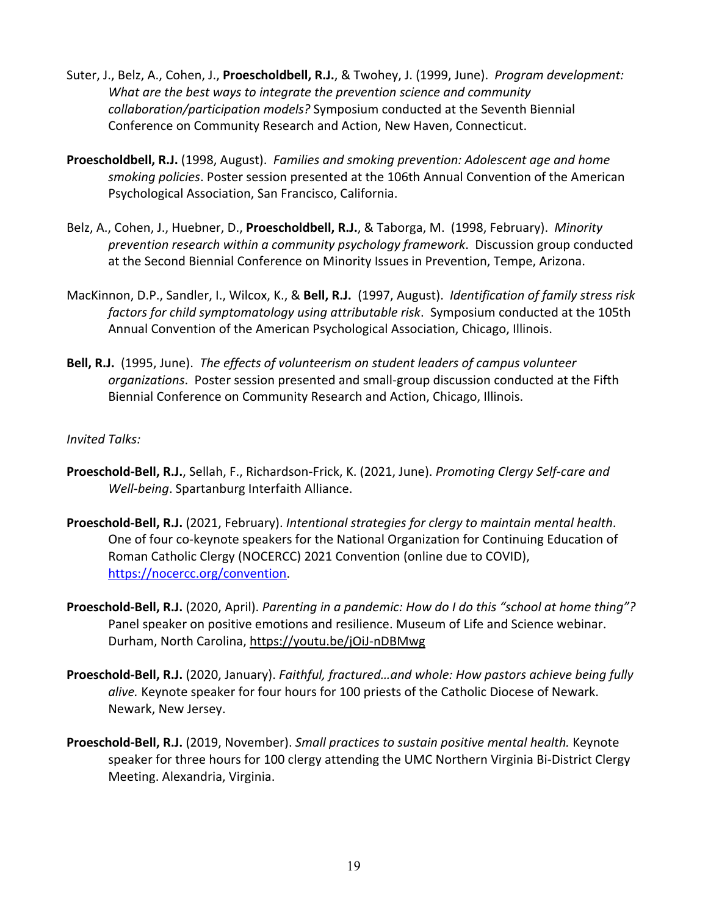- Suter, J., Belz, A., Cohen, J., **Proescholdbell, R.J.**, & Twohey, J. (1999, June). *Program development: What are the best ways to integrate the prevention science and community collaboration/participation models?* Symposium conducted at the Seventh Biennial Conference on Community Research and Action, New Haven, Connecticut.
- **Proescholdbell, R.J.** (1998, August). *Families and smoking prevention: Adolescent age and home smoking policies*. Poster session presented at the 106th Annual Convention of the American Psychological Association, San Francisco, California.
- Belz, A., Cohen, J., Huebner, D., **Proescholdbell, R.J.**, & Taborga, M. (1998, February). *Minority prevention research within a community psychology framework*. Discussion group conducted at the Second Biennial Conference on Minority Issues in Prevention, Tempe, Arizona.
- MacKinnon, D.P., Sandler, I., Wilcox, K., & **Bell, R.J.** (1997, August). *Identification of family stress risk factors for child symptomatology using attributable risk*. Symposium conducted at the 105th Annual Convention of the American Psychological Association, Chicago, Illinois.
- **Bell, R.J.** (1995, June). *The effects of volunteerism on student leaders of campus volunteer organizations*. Poster session presented and small‐group discussion conducted at the Fifth Biennial Conference on Community Research and Action, Chicago, Illinois.

*Invited Talks:*

- **Proeschold‐Bell, R.J.**, Sellah, F., Richardson‐Frick, K. (2021, June). *Promoting Clergy Self‐care and Well‐being*. Spartanburg Interfaith Alliance.
- **Proeschold‐Bell, R.J.** (2021, February). *Intentional strategies for clergy to maintain mental health*. One of four co‐keynote speakers for the National Organization for Continuing Education of Roman Catholic Clergy (NOCERCC) 2021 Convention (online due to COVID), https://nocercc.org/convention.
- **Proeschold‐Bell, R.J.** (2020, April). *Parenting in a pandemic: How do I do this "school at home thing"?* Panel speaker on positive emotions and resilience. Museum of Life and Science webinar. Durham, North Carolina, https://youtu.be/jOiJ‐nDBMwg
- **Proeschold‐Bell, R.J.** (2020, January). *Faithful, fractured…and whole: How pastors achieve being fully alive.* Keynote speaker for four hours for 100 priests of the Catholic Diocese of Newark. Newark, New Jersey.
- **Proeschold‐Bell, R.J.** (2019, November). *Small practices to sustain positive mental health.* Keynote speaker for three hours for 100 clergy attending the UMC Northern Virginia Bi‐District Clergy Meeting. Alexandria, Virginia.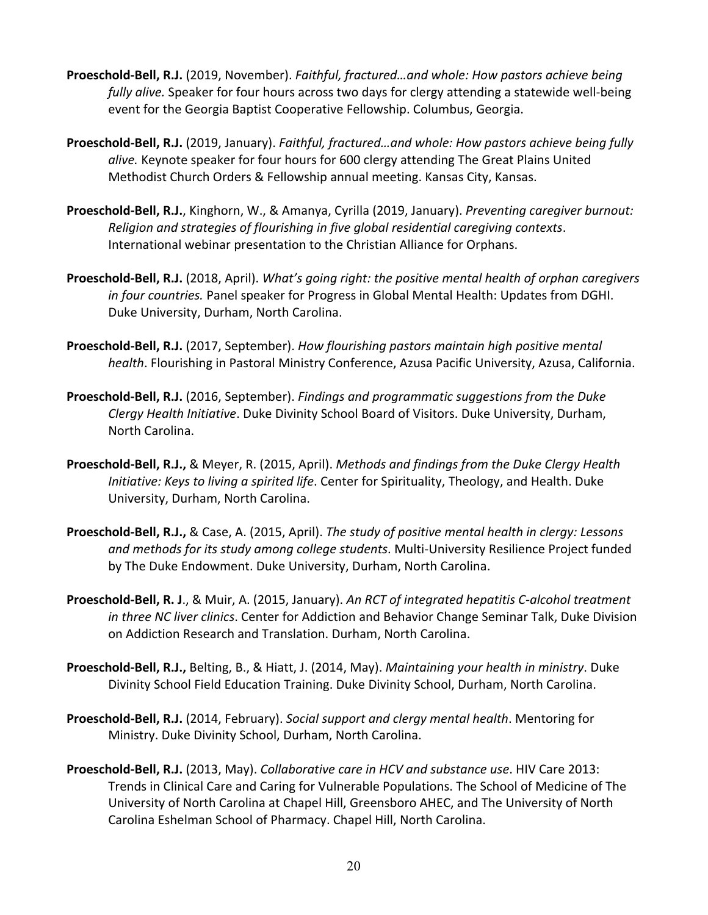- **Proeschold‐Bell, R.J.** (2019, November). *Faithful, fractured…and whole: How pastors achieve being fully alive.* Speaker for four hours across two days for clergy attending a statewide well‐being event for the Georgia Baptist Cooperative Fellowship. Columbus, Georgia.
- **Proeschold‐Bell, R.J.** (2019, January). *Faithful, fractured…and whole: How pastors achieve being fully alive.* Keynote speaker for four hours for 600 clergy attending The Great Plains United Methodist Church Orders & Fellowship annual meeting. Kansas City, Kansas.
- **Proeschold‐Bell, R.J.**, Kinghorn, W., & Amanya, Cyrilla (2019, January). *Preventing caregiver burnout: Religion and strategies of flourishing in five global residential caregiving contexts*. International webinar presentation to the Christian Alliance for Orphans.
- **Proeschold‐Bell, R.J.** (2018, April). *What's going right: the positive mental health of orphan caregivers in four countries.* Panel speaker for Progress in Global Mental Health: Updates from DGHI. Duke University, Durham, North Carolina.
- **Proeschold‐Bell, R.J.** (2017, September). *How flourishing pastors maintain high positive mental health*. Flourishing in Pastoral Ministry Conference, Azusa Pacific University, Azusa, California.
- **Proeschold‐Bell, R.J.** (2016, September). *Findings and programmatic suggestions from the Duke Clergy Health Initiative*. Duke Divinity School Board of Visitors. Duke University, Durham, North Carolina.
- **Proeschold‐Bell, R.J.,** & Meyer, R. (2015, April). *Methods and findings from the Duke Clergy Health Initiative: Keys to living a spirited life*. Center for Spirituality, Theology, and Health. Duke University, Durham, North Carolina.
- **Proeschold‐Bell, R.J.,** & Case, A. (2015, April). *The study of positive mental health in clergy: Lessons and methods for its study among college students*. Multi‐University Resilience Project funded by The Duke Endowment. Duke University, Durham, North Carolina.
- **Proeschold‐Bell, R. J**., & Muir, A. (2015, January). *An RCT of integrated hepatitis C‐alcohol treatment in three NC liver clinics*. Center for Addiction and Behavior Change Seminar Talk, Duke Division on Addiction Research and Translation. Durham, North Carolina.
- **Proeschold‐Bell, R.J.,** Belting, B., & Hiatt, J. (2014, May). *Maintaining your health in ministry*. Duke Divinity School Field Education Training. Duke Divinity School, Durham, North Carolina.
- **Proeschold‐Bell, R.J.** (2014, February). *Social support and clergy mental health*. Mentoring for Ministry. Duke Divinity School, Durham, North Carolina.
- **Proeschold‐Bell, R.J.** (2013, May). *Collaborative care in HCV and substance use*. HIV Care 2013: Trends in Clinical Care and Caring for Vulnerable Populations. The School of Medicine of The University of North Carolina at Chapel Hill, Greensboro AHEC, and The University of North Carolina Eshelman School of Pharmacy. Chapel Hill, North Carolina.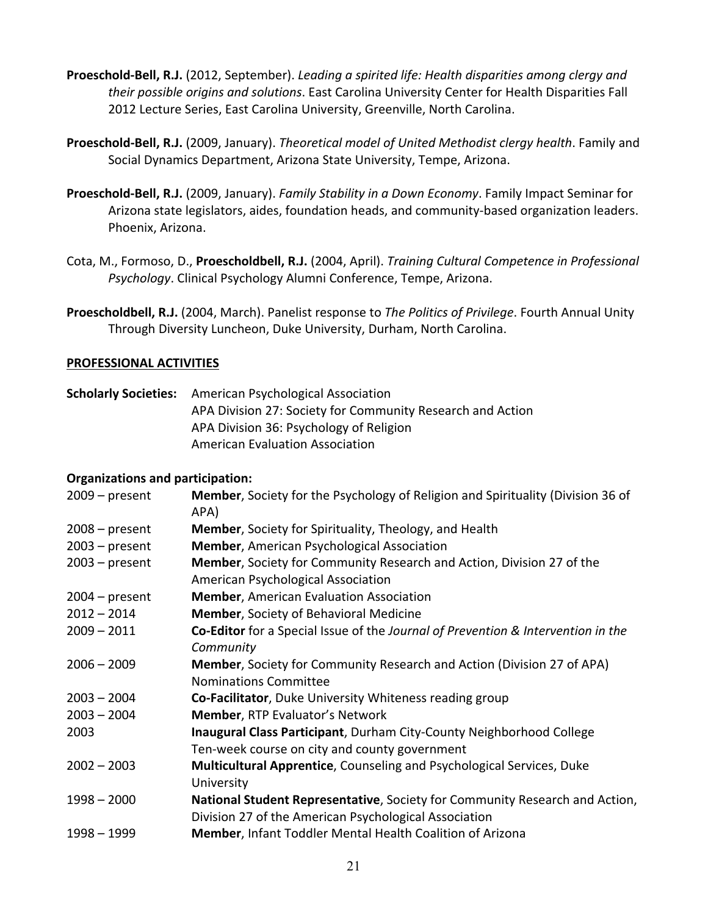- **Proeschold‐Bell, R.J.** (2012, September). *Leading a spirited life: Health disparities among clergy and their possible origins and solutions*. East Carolina University Center for Health Disparities Fall 2012 Lecture Series, East Carolina University, Greenville, North Carolina.
- **Proeschold‐Bell, R.J.** (2009, January). *Theoretical model of United Methodist clergy health*. Family and Social Dynamics Department, Arizona State University, Tempe, Arizona.
- **Proeschold‐Bell, R.J.** (2009, January). *Family Stability in a Down Economy*. Family Impact Seminar for Arizona state legislators, aides, foundation heads, and community‐based organization leaders. Phoenix, Arizona.
- Cota, M., Formoso, D., **Proescholdbell, R.J.** (2004, April). *Training Cultural Competence in Professional Psychology*. Clinical Psychology Alumni Conference, Tempe, Arizona.
- **Proescholdbell, R.J.** (2004, March). Panelist response to *The Politics of Privilege*. Fourth Annual Unity Through Diversity Luncheon, Duke University, Durham, North Carolina.

### **PROFESSIONAL ACTIVITIES**

**Scholarly Societies:** American Psychological Association APA Division 27: Society for Community Research and Action APA Division 36: Psychology of Religion American Evaluation Association

### **Organizations and participation:**

| $2009 - present$ | Member, Society for the Psychology of Religion and Spirituality (Division 36 of<br>APA) |
|------------------|-----------------------------------------------------------------------------------------|
| $2008 - present$ | <b>Member, Society for Spirituality, Theology, and Health</b>                           |
| $2003$ – present | <b>Member, American Psychological Association</b>                                       |
| $2003 - present$ | Member, Society for Community Research and Action, Division 27 of the                   |
|                  | American Psychological Association                                                      |
| $2004 - present$ | <b>Member, American Evaluation Association</b>                                          |
| $2012 - 2014$    | <b>Member, Society of Behavioral Medicine</b>                                           |
| $2009 - 2011$    | Co-Editor for a Special Issue of the Journal of Prevention & Intervention in the        |
|                  | Community                                                                               |
| $2006 - 2009$    | Member, Society for Community Research and Action (Division 27 of APA)                  |
|                  | <b>Nominations Committee</b>                                                            |
| $2003 - 2004$    | Co-Facilitator, Duke University Whiteness reading group                                 |
| $2003 - 2004$    | Member, RTP Evaluator's Network                                                         |
| 2003             | Inaugural Class Participant, Durham City-County Neighborhood College                    |
|                  | Ten-week course on city and county government                                           |
| $2002 - 2003$    | Multicultural Apprentice, Counseling and Psychological Services, Duke                   |
|                  | University                                                                              |
| $1998 - 2000$    | National Student Representative, Society for Community Research and Action,             |
|                  | Division 27 of the American Psychological Association                                   |
| $1998 - 1999$    | Member, Infant Toddler Mental Health Coalition of Arizona                               |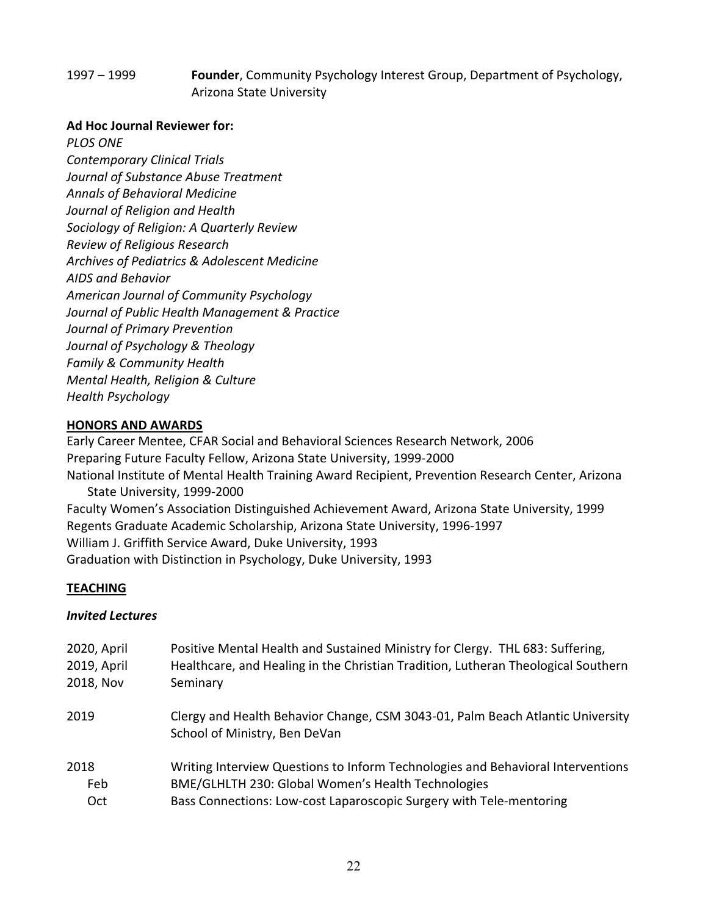## 1997 – 1999 **Founder**, Community Psychology Interest Group, Department of Psychology, Arizona State University

### **Ad Hoc Journal Reviewer for:**

*PLOS ONE*

*Contemporary Clinical Trials Journal of Substance Abuse Treatment Annals of Behavioral Medicine Journal of Religion and Health Sociology of Religion: A Quarterly Review Review of Religious Research Archives of Pediatrics & Adolescent Medicine AIDS and Behavior American Journal of Community Psychology Journal of Public Health Management & Practice Journal of Primary Prevention Journal of Psychology & Theology Family & Community Health Mental Health, Religion & Culture Health Psychology*

## **HONORS AND AWARDS**

Early Career Mentee, CFAR Social and Behavioral Sciences Research Network, 2006 Preparing Future Faculty Fellow, Arizona State University, 1999‐2000 National Institute of Mental Health Training Award Recipient, Prevention Research Center, Arizona State University, 1999‐2000 Faculty Women's Association Distinguished Achievement Award, Arizona State University, 1999 Regents Graduate Academic Scholarship, Arizona State University, 1996‐1997 William J. Griffith Service Award, Duke University, 1993 Graduation with Distinction in Psychology, Duke University, 1993

### **TEACHING**

### *Invited Lectures*

| 2020, April | Positive Mental Health and Sustained Ministry for Clergy. THL 683: Suffering,                                   |
|-------------|-----------------------------------------------------------------------------------------------------------------|
| 2019, April | Healthcare, and Healing in the Christian Tradition, Lutheran Theological Southern                               |
| 2018, Nov   | Seminary                                                                                                        |
| 2019        | Clergy and Health Behavior Change, CSM 3043-01, Palm Beach Atlantic University<br>School of Ministry, Ben DeVan |
| 2018        | Writing Interview Questions to Inform Technologies and Behavioral Interventions                                 |
| Feb         | BME/GLHLTH 230: Global Women's Health Technologies                                                              |
| Oct         | Bass Connections: Low-cost Laparoscopic Surgery with Tele-mentoring                                             |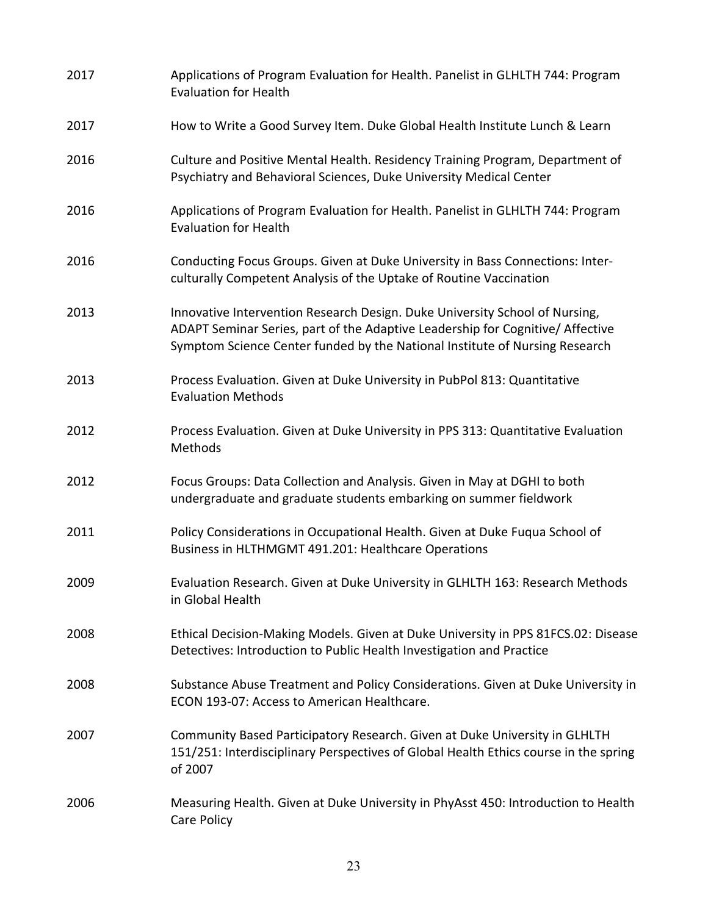| 2017 | Applications of Program Evaluation for Health. Panelist in GLHLTH 744: Program<br><b>Evaluation for Health</b>                                                                                                                               |
|------|----------------------------------------------------------------------------------------------------------------------------------------------------------------------------------------------------------------------------------------------|
| 2017 | How to Write a Good Survey Item. Duke Global Health Institute Lunch & Learn                                                                                                                                                                  |
| 2016 | Culture and Positive Mental Health. Residency Training Program, Department of<br>Psychiatry and Behavioral Sciences, Duke University Medical Center                                                                                          |
| 2016 | Applications of Program Evaluation for Health. Panelist in GLHLTH 744: Program<br><b>Evaluation for Health</b>                                                                                                                               |
| 2016 | Conducting Focus Groups. Given at Duke University in Bass Connections: Inter-<br>culturally Competent Analysis of the Uptake of Routine Vaccination                                                                                          |
| 2013 | Innovative Intervention Research Design. Duke University School of Nursing,<br>ADAPT Seminar Series, part of the Adaptive Leadership for Cognitive/ Affective<br>Symptom Science Center funded by the National Institute of Nursing Research |
| 2013 | Process Evaluation. Given at Duke University in PubPol 813: Quantitative<br><b>Evaluation Methods</b>                                                                                                                                        |
| 2012 | Process Evaluation. Given at Duke University in PPS 313: Quantitative Evaluation<br>Methods                                                                                                                                                  |
| 2012 | Focus Groups: Data Collection and Analysis. Given in May at DGHI to both<br>undergraduate and graduate students embarking on summer fieldwork                                                                                                |
| 2011 | Policy Considerations in Occupational Health. Given at Duke Fuqua School of<br>Business in HLTHMGMT 491.201: Healthcare Operations                                                                                                           |
| 2009 | Evaluation Research. Given at Duke University in GLHLTH 163: Research Methods<br>in Global Health                                                                                                                                            |
| 2008 | Ethical Decision-Making Models. Given at Duke University in PPS 81FCS.02: Disease<br>Detectives: Introduction to Public Health Investigation and Practice                                                                                    |
| 2008 | Substance Abuse Treatment and Policy Considerations. Given at Duke University in<br>ECON 193-07: Access to American Healthcare.                                                                                                              |
| 2007 | Community Based Participatory Research. Given at Duke University in GLHLTH<br>151/251: Interdisciplinary Perspectives of Global Health Ethics course in the spring<br>of 2007                                                                |
| 2006 | Measuring Health. Given at Duke University in PhyAsst 450: Introduction to Health<br>Care Policy                                                                                                                                             |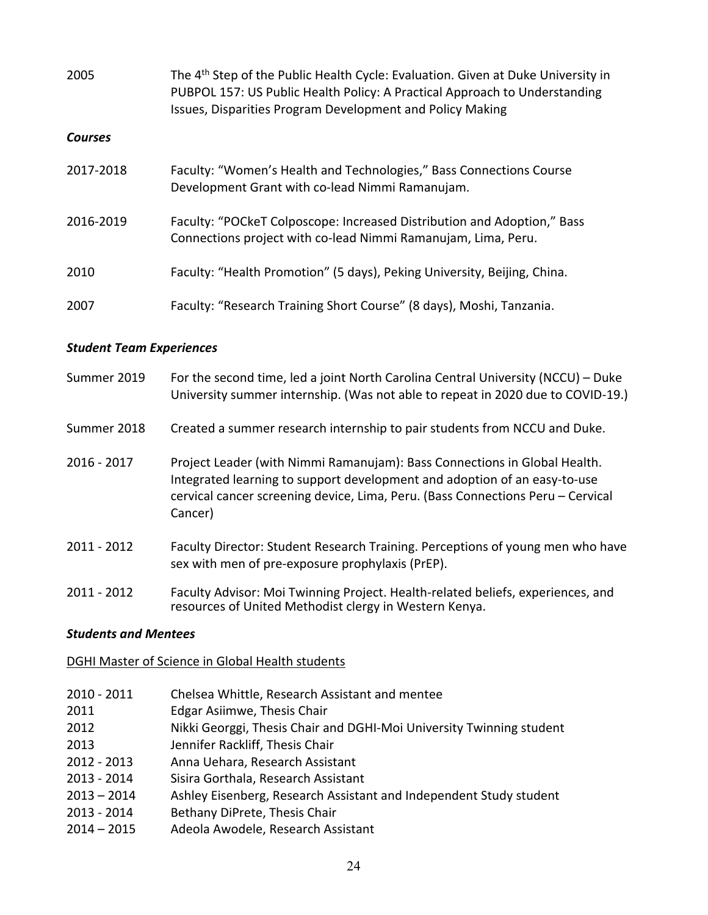| 2005           | The 4 <sup>th</sup> Step of the Public Health Cycle: Evaluation. Given at Duke University in<br>PUBPOL 157: US Public Health Policy: A Practical Approach to Understanding<br>Issues, Disparities Program Development and Policy Making |
|----------------|-----------------------------------------------------------------------------------------------------------------------------------------------------------------------------------------------------------------------------------------|
| <b>Courses</b> |                                                                                                                                                                                                                                         |
| 2017-2018      | Faculty: "Women's Health and Technologies," Bass Connections Course<br>Development Grant with co-lead Nimmi Ramanujam.                                                                                                                  |
| 2016-2019      | Faculty: "POCkeT Colposcope: Increased Distribution and Adoption," Bass<br>Connections project with co-lead Nimmi Ramanujam, Lima, Peru.                                                                                                |
| 2010           | Faculty: "Health Promotion" (5 days), Peking University, Beijing, China.                                                                                                                                                                |
| 2007           | Faculty: "Research Training Short Course" (8 days), Moshi, Tanzania.                                                                                                                                                                    |

### *Student Team Experiences*

| Summer 2019   | For the second time, led a joint North Carolina Central University (NCCU) - Duke<br>University summer internship. (Was not able to repeat in 2020 due to COVID-19.)                                                                                  |
|---------------|------------------------------------------------------------------------------------------------------------------------------------------------------------------------------------------------------------------------------------------------------|
| Summer 2018   | Created a summer research internship to pair students from NCCU and Duke.                                                                                                                                                                            |
| $2016 - 2017$ | Project Leader (with Nimmi Ramanujam): Bass Connections in Global Health.<br>Integrated learning to support development and adoption of an easy-to-use<br>cervical cancer screening device, Lima, Peru. (Bass Connections Peru - Cervical<br>Cancer) |
| $2011 - 2012$ | Faculty Director: Student Research Training. Perceptions of young men who have<br>sex with men of pre-exposure prophylaxis (PrEP).                                                                                                                   |
| 2011 - 2012   | Faculty Advisor: Moi Twinning Project. Health-related beliefs, experiences, and<br>resources of United Methodist clergy in Western Kenya.                                                                                                            |

### *Students and Mentees*

### DGHI Master of Science in Global Health students

- 2010 ‐ 2011 Chelsea Whittle, Research Assistant and mentee
- 2011 Edgar Asiimwe, Thesis Chair
- 2012 Nikki Georggi, Thesis Chair and DGHI-Moi University Twinning student
- 2013 Jennifer Rackliff, Thesis Chair
- 2012 ‐ 2013 Anna Uehara, Research Assistant
- 2013 ‐ 2014 Sisira Gorthala, Research Assistant
- 2013 2014 Ashley Eisenberg, Research Assistant and Independent Study student
- 2013 ‐ 2014 Bethany DiPrete, Thesis Chair
- 2014 2015 Adeola Awodele, Research Assistant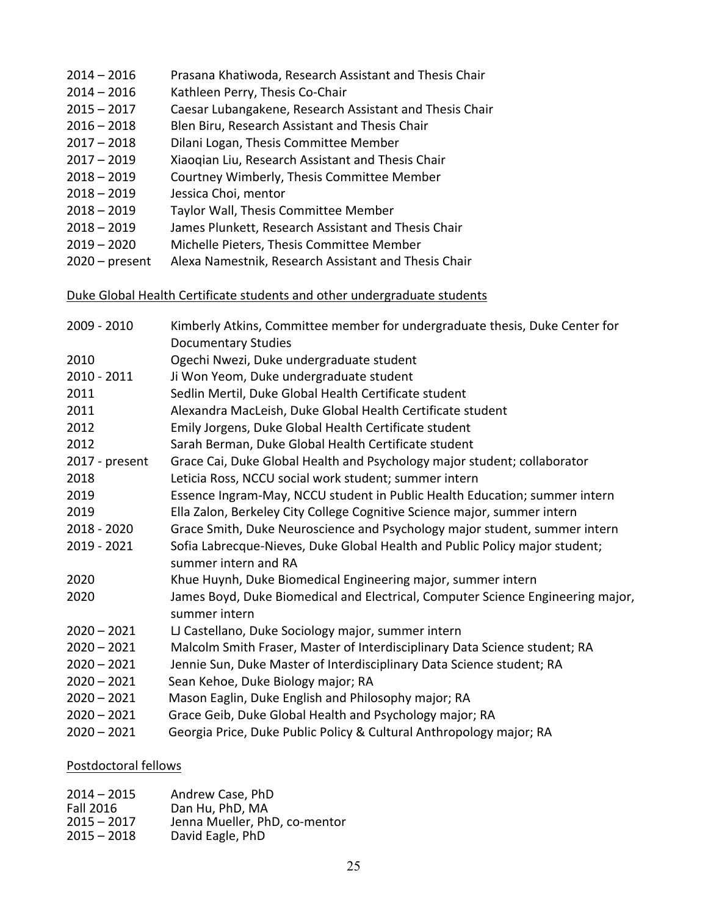- 2016 Prasana Khatiwoda, Research Assistant and Thesis Chair
- 2016 Kathleen Perry, Thesis Co‐Chair
- 2017 Caesar Lubangakene, Research Assistant and Thesis Chair
- 2018 Blen Biru, Research Assistant and Thesis Chair
- 2018 Dilani Logan, Thesis Committee Member
- 2019 Xiaoqian Liu, Research Assistant and Thesis Chair
- 2019 Courtney Wimberly, Thesis Committee Member
- 2019 Jessica Choi, mentor
- 2019 Taylor Wall, Thesis Committee Member
- 2019 James Plunkett, Research Assistant and Thesis Chair
- 2020 Michelle Pieters, Thesis Committee Member
- present Alexa Namestnik, Research Assistant and Thesis Chair

### Duke Global Health Certificate students and other undergraduate students

| 2009 - 2010    | Kimberly Atkins, Committee member for undergraduate thesis, Duke Center for<br><b>Documentary Studies</b> |
|----------------|-----------------------------------------------------------------------------------------------------------|
| 2010           | Ogechi Nwezi, Duke undergraduate student                                                                  |
| $2010 - 2011$  | Ji Won Yeom, Duke undergraduate student                                                                   |
| 2011           | Sedlin Mertil, Duke Global Health Certificate student                                                     |
| 2011           | Alexandra MacLeish, Duke Global Health Certificate student                                                |
| 2012           | Emily Jorgens, Duke Global Health Certificate student                                                     |
| 2012           | Sarah Berman, Duke Global Health Certificate student                                                      |
| 2017 - present | Grace Cai, Duke Global Health and Psychology major student; collaborator                                  |
| 2018           | Leticia Ross, NCCU social work student; summer intern                                                     |
| 2019           | Essence Ingram-May, NCCU student in Public Health Education; summer intern                                |
| 2019           | Ella Zalon, Berkeley City College Cognitive Science major, summer intern                                  |
| 2018 - 2020    | Grace Smith, Duke Neuroscience and Psychology major student, summer intern                                |
| 2019 - 2021    | Sofia Labrecque-Nieves, Duke Global Health and Public Policy major student;<br>summer intern and RA       |
| 2020           | Khue Huynh, Duke Biomedical Engineering major, summer intern                                              |
| 2020           | James Boyd, Duke Biomedical and Electrical, Computer Science Engineering major,                           |
|                | summer intern                                                                                             |
| $2020 - 2021$  | LJ Castellano, Duke Sociology major, summer intern                                                        |
| $2020 - 2021$  | Malcolm Smith Fraser, Master of Interdisciplinary Data Science student; RA                                |
| $2020 - 2021$  | Jennie Sun, Duke Master of Interdisciplinary Data Science student; RA                                     |
| $2020 - 2021$  | Sean Kehoe, Duke Biology major; RA                                                                        |
| $2020 - 2021$  | Mason Eaglin, Duke English and Philosophy major; RA                                                       |
| $2020 - 2021$  | Grace Geib, Duke Global Health and Psychology major; RA                                                   |
| $2020 - 2021$  | Georgia Price, Duke Public Policy & Cultural Anthropology major; RA                                       |

### Postdoctoral fellows

| Andrew Case, PhD              |
|-------------------------------|
| Dan Hu, PhD, MA               |
| Jenna Mueller, PhD, co-mentor |
| David Eagle, PhD              |
|                               |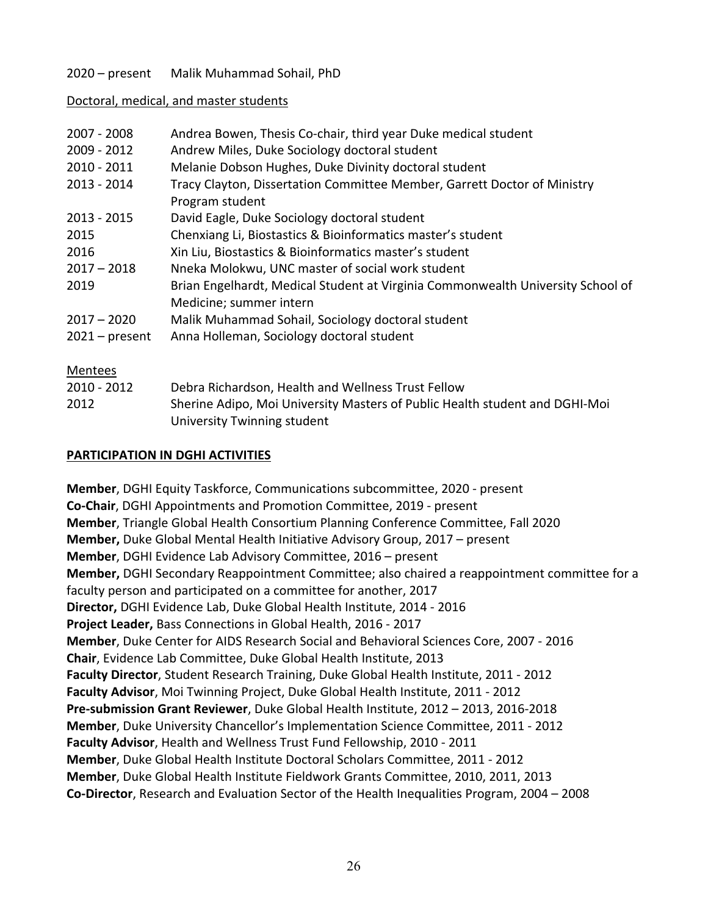## 2020 – present Malik Muhammad Sohail, PhD

### Doctoral, medical, and master students

| 2007 - 2008      | Andrea Bowen, Thesis Co-chair, third year Duke medical student                  |
|------------------|---------------------------------------------------------------------------------|
| 2009 - 2012      | Andrew Miles, Duke Sociology doctoral student                                   |
| 2010 - 2011      | Melanie Dobson Hughes, Duke Divinity doctoral student                           |
| 2013 - 2014      | Tracy Clayton, Dissertation Committee Member, Garrett Doctor of Ministry        |
|                  | Program student                                                                 |
| 2013 - 2015      | David Eagle, Duke Sociology doctoral student                                    |
| 2015             | Chenxiang Li, Biostastics & Bioinformatics master's student                     |
| 2016             | Xin Liu, Biostastics & Bioinformatics master's student                          |
| $2017 - 2018$    | Nneka Molokwu, UNC master of social work student                                |
| 2019             | Brian Engelhardt, Medical Student at Virginia Commonwealth University School of |
|                  | Medicine; summer intern                                                         |
| $2017 - 2020$    | Malik Muhammad Sohail, Sociology doctoral student                               |
| $2021 - present$ | Anna Holleman, Sociology doctoral student                                       |
| Mentees          |                                                                                 |
| 2010 - 2012      | Debra Richardson, Health and Wellness Trust Fellow                              |
| 2012             | Sherine Adipo, Moi University Masters of Public Health student and DGHI-Moi     |

### **PARTICIPATION IN DGHI ACTIVITIES**

University Twinning student

**Member**, DGHI Equity Taskforce, Communications subcommittee, 2020 ‐ present **Co‐Chair**, DGHI Appointments and Promotion Committee, 2019 ‐ present **Member**, Triangle Global Health Consortium Planning Conference Committee, Fall 2020 **Member,** Duke Global Mental Health Initiative Advisory Group, 2017 – present **Member**, DGHI Evidence Lab Advisory Committee, 2016 – present **Member,** DGHI Secondary Reappointment Committee; also chaired a reappointment committee for a faculty person and participated on a committee for another, 2017 **Director,** DGHI Evidence Lab, Duke Global Health Institute, 2014 ‐ 2016 **Project Leader,** Bass Connections in Global Health, 2016 ‐ 2017 **Member**, Duke Center for AIDS Research Social and Behavioral Sciences Core, 2007 ‐ 2016 **Chair**, Evidence Lab Committee, Duke Global Health Institute, 2013 **Faculty Director**, Student Research Training, Duke Global Health Institute, 2011 ‐ 2012 **Faculty Advisor**, Moi Twinning Project, Duke Global Health Institute, 2011 ‐ 2012 **Pre‐submission Grant Reviewer**, Duke Global Health Institute, 2012 – 2013, 2016‐2018 **Member**, Duke University Chancellor's Implementation Science Committee, 2011 ‐ 2012 **Faculty Advisor**, Health and Wellness Trust Fund Fellowship, 2010 ‐ 2011 **Member**, Duke Global Health Institute Doctoral Scholars Committee, 2011 ‐ 2012 **Member**, Duke Global Health Institute Fieldwork Grants Committee, 2010, 2011, 2013 **Co‐Director**, Research and Evaluation Sector of the Health Inequalities Program, 2004 – 2008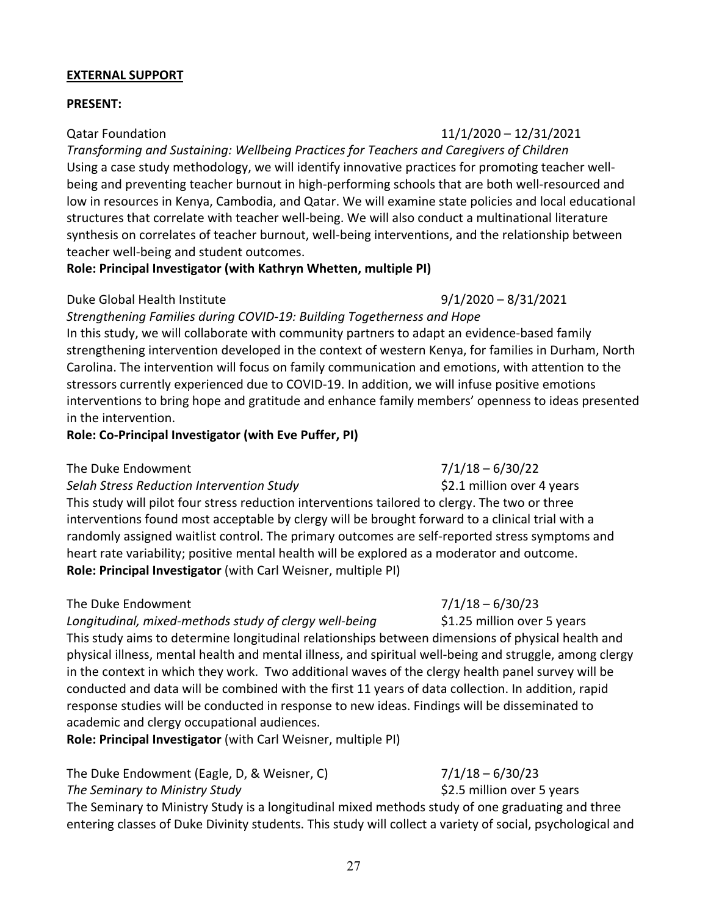### **EXTERNAL SUPPORT**

### **PRESENT:**

*Transforming and Sustaining: Wellbeing Practices for Teachers and Caregivers of Children* Using a case study methodology, we will identify innovative practices for promoting teacher well‐ being and preventing teacher burnout in high‐performing schools that are both well‐resourced and low in resources in Kenya, Cambodia, and Qatar. We will examine state policies and local educational structures that correlate with teacher well‐being. We will also conduct a multinational literature synthesis on correlates of teacher burnout, well-being interventions, and the relationship between teacher well‐being and student outcomes.

### **Role: Principal Investigator (with Kathryn Whetten, multiple PI)**

## Duke Global Health Institute 9/1/2020 – 8/31/2021

*Strengthening Families during COVID‐19: Building Togetherness and Hope*  In this study, we will collaborate with community partners to adapt an evidence‐based family strengthening intervention developed in the context of western Kenya, for families in Durham, North Carolina. The intervention will focus on family communication and emotions, with attention to the stressors currently experienced due to COVID‐19. In addition, we will infuse positive emotions interventions to bring hope and gratitude and enhance family members' openness to ideas presented in the intervention.

### **Role: Co‐Principal Investigator (with Eve Puffer, PI)**

## The Duke Endowment  $\frac{7}{128}$  and  $\frac{7}{128}$  – 6/30/22

## *Selah Stress Reduction Intervention Study* \$2.1 million over 4 years

This study will pilot four stress reduction interventions tailored to clergy. The two or three interventions found most acceptable by clergy will be brought forward to a clinical trial with a randomly assigned waitlist control. The primary outcomes are self‐reported stress symptoms and heart rate variability; positive mental health will be explored as a moderator and outcome. **Role: Principal Investigator** (with Carl Weisner, multiple PI)

## The Duke Endowment  $7/1/18 - 6/30/23$

*Longitudinal, mixed‐methods study of clergy well‐being* \$1.25 million over 5 years

This study aims to determine longitudinal relationships between dimensions of physical health and physical illness, mental health and mental illness, and spiritual well‐being and struggle, among clergy in the context in which they work. Two additional waves of the clergy health panel survey will be conducted and data will be combined with the first 11 years of data collection. In addition, rapid response studies will be conducted in response to new ideas. Findings will be disseminated to academic and clergy occupational audiences.

**Role: Principal Investigator** (with Carl Weisner, multiple PI)

The Duke Endowment (Eagle, D, & Weisner, C)  $7/1/18 - 6/30/23$ *The Seminary to Ministry Study*  \$2.5 million over 5 years

The Seminary to Ministry Study is a longitudinal mixed methods study of one graduating and three entering classes of Duke Divinity students. This study will collect a variety of social, psychological and

## Qatar Foundation 11/1/2020 – 12/31/2021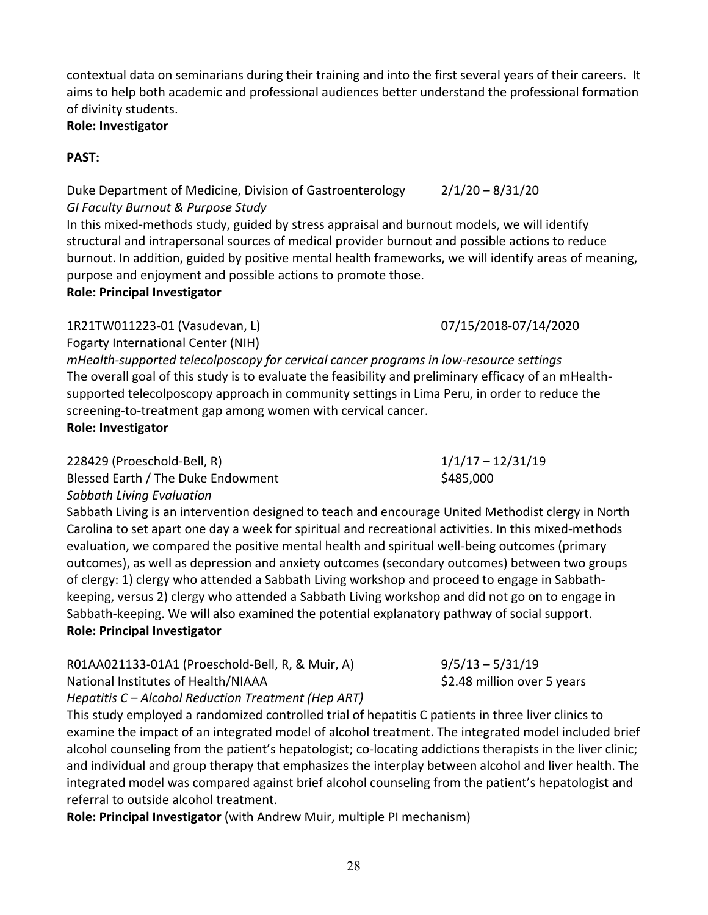contextual data on seminarians during their training and into the first several years of their careers. It aims to help both academic and professional audiences better understand the professional formation of divinity students.

## **Role: Investigator**

## **PAST:**

Duke Department of Medicine, Division of Gastroenterology 2/1/20 – 8/31/20 *GI Faculty Burnout & Purpose Study*

In this mixed‐methods study, guided by stress appraisal and burnout models, we will identify structural and intrapersonal sources of medical provider burnout and possible actions to reduce burnout. In addition, guided by positive mental health frameworks, we will identify areas of meaning, purpose and enjoyment and possible actions to promote those.

## **Role: Principal Investigator**

# 1R21TW011223‐01 (Vasudevan, L) 07/15/2018‐07/14/2020

Fogarty International Center (NIH)

*mHealth‐supported telecolposcopy for cervical cancer programs in low‐resource settings* The overall goal of this study is to evaluate the feasibility and preliminary efficacy of an mHealth‐ supported telecolposcopy approach in community settings in Lima Peru, in order to reduce the screening‐to‐treatment gap among women with cervical cancer. **Role: Investigator**

228429 (Proeschold‐Bell, R) 1/1/17 – 12/31/19

Blessed Earth / The Duke Endowment \$485,000

*Sabbath Living Evaluation* 

Sabbath Living is an intervention designed to teach and encourage United Methodist clergy in North Carolina to set apart one day a week for spiritual and recreational activities. In this mixed‐methods evaluation, we compared the positive mental health and spiritual well‐being outcomes (primary outcomes), as well as depression and anxiety outcomes (secondary outcomes) between two groups of clergy: 1) clergy who attended a Sabbath Living workshop and proceed to engage in Sabbath‐ keeping, versus 2) clergy who attended a Sabbath Living workshop and did not go on to engage in Sabbath-keeping. We will also examined the potential explanatory pathway of social support. **Role: Principal Investigator**

# R01AA021133‐01A1 (Proeschold‐Bell, R, & Muir, A) 9/5/13 – 5/31/19 National Institutes of Health/NIAAA \$2.48 million over 5 years

*Hepatitis C – Alcohol Reduction Treatment (Hep ART)*

This study employed a randomized controlled trial of hepatitis C patients in three liver clinics to examine the impact of an integrated model of alcohol treatment. The integrated model included brief alcohol counseling from the patient's hepatologist; co-locating addictions therapists in the liver clinic; and individual and group therapy that emphasizes the interplay between alcohol and liver health. The integrated model was compared against brief alcohol counseling from the patient's hepatologist and referral to outside alcohol treatment.

**Role: Principal Investigator** (with Andrew Muir, multiple PI mechanism)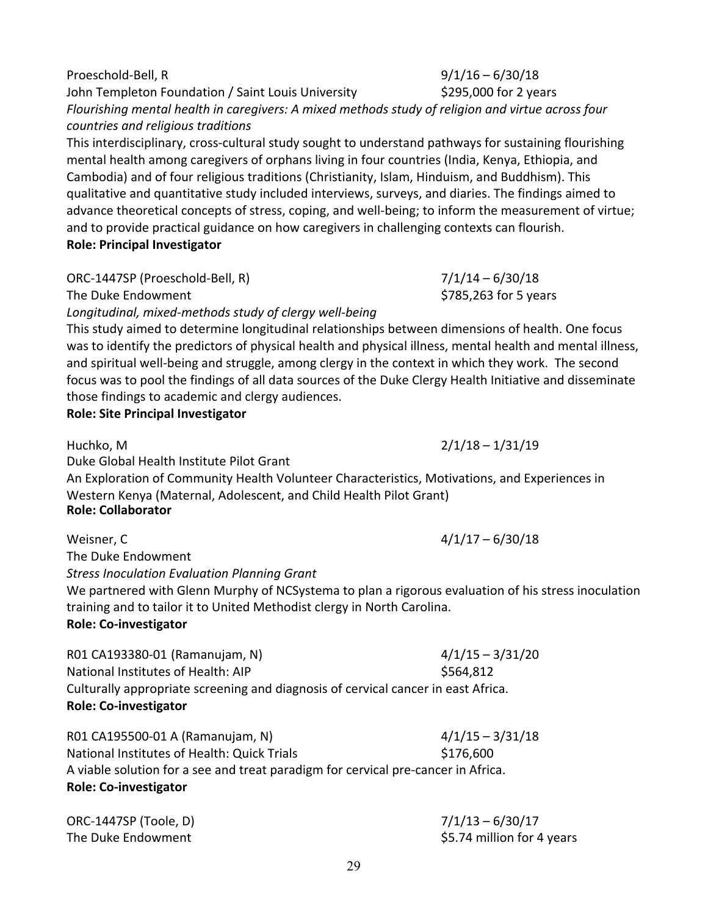John Templeton Foundation / Saint Louis University **1998 SEP 5186 For 2 years** 3 *Flourishing mental health in caregivers: A mixed methods study of religion and virtue across four countries and religious traditions* This interdisciplinary, cross‐cultural study sought to understand pathways for sustaining flourishing mental health among caregivers of orphans living in four countries (India, Kenya, Ethiopia, and Cambodia) and of four religious traditions (Christianity, Islam, Hinduism, and Buddhism). This qualitative and quantitative study included interviews, surveys, and diaries. The findings aimed to advance theoretical concepts of stress, coping, and well‐being; to inform the measurement of virtue; and to provide practical guidance on how caregivers in challenging contexts can flourish.

**Role: Principal Investigator**

ORC‐1447SP (Proeschold‐Bell, R) 7/1/14 – 6/30/18

The Duke Endowment **The Duke Endowment 1998 1998 1998 1998 1998 1998 1998 1999 1999 1999 1999 1999 1999 1999 1999 1999 1999 1999 1999 1999 1999 1999 1999 1999 1999 1999** 

*Longitudinal, mixed‐methods study of clergy well‐being*

This study aimed to determine longitudinal relationships between dimensions of health. One focus was to identify the predictors of physical health and physical illness, mental health and mental illness, and spiritual well-being and struggle, among clergy in the context in which they work. The second focus was to pool the findings of all data sources of the Duke Clergy Health Initiative and disseminate those findings to academic and clergy audiences.

**Role: Site Principal Investigator**

Duke Global Health Institute Pilot Grant

An Exploration of Community Health Volunteer Characteristics, Motivations, and Experiences in Western Kenya (Maternal, Adolescent, and Child Health Pilot Grant) **Role: Collaborator**

Weisner, C  $\frac{4}{117} - \frac{6}{30}$ /18

The Duke Endowment

*Stress Inoculation Evaluation Planning Grant*

We partnered with Glenn Murphy of NCSystema to plan a rigorous evaluation of his stress inoculation training and to tailor it to United Methodist clergy in North Carolina.

## **Role: Co‐investigator**

R01 CA193380‐01 (Ramanujam, N) 4/1/15 – 3/31/20 National Institutes of Health: AIP \$564,812 Culturally appropriate screening and diagnosis of cervical cancer in east Africa.

**Role: Co‐investigator**

| R01 CA195500-01 A (Ramanujam, N)                                                  | $4/1/15 - 3/31/18$ |
|-----------------------------------------------------------------------------------|--------------------|
| National Institutes of Health: Quick Trials                                       | \$176,600          |
| A viable solution for a see and treat paradigm for cervical pre-cancer in Africa. |                    |
| <b>Role: Co-investigator</b>                                                      |                    |

ORC‐1447SP (Toole, D) 7/1/13 – 6/30/17 The Duke Endowment **The Duke Endowment in the Duke Endowment in the Solution for 4 years** 

Huchko, M 2/1/18 – 1/31/19

# Proeschold‐Bell, R 9/1/16 – 6/30/18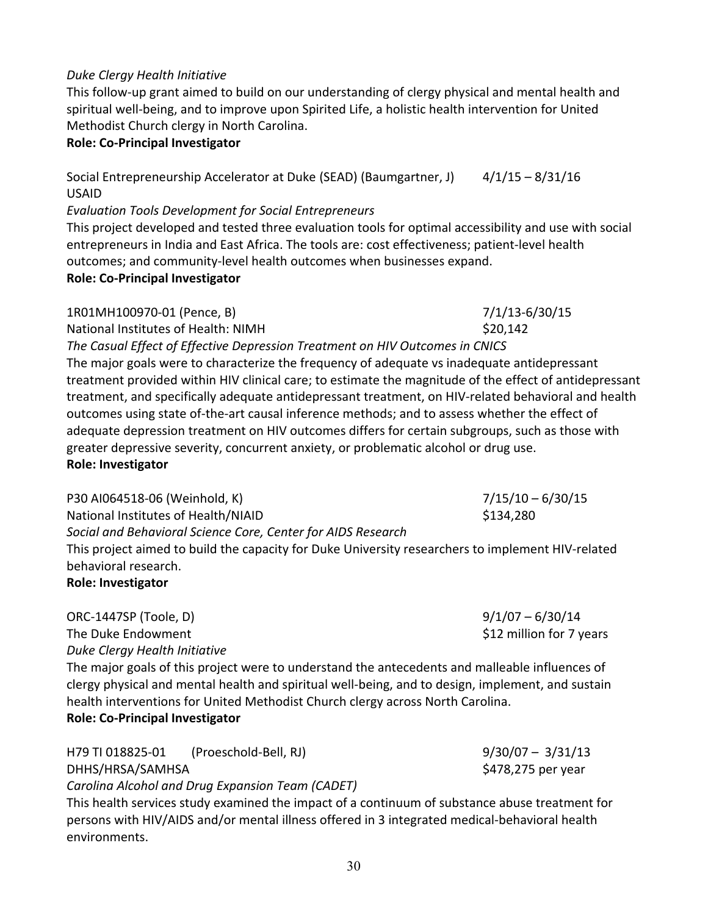30

# *Duke Clergy Health Initiative*

This follow‐up grant aimed to build on our understanding of clergy physical and mental health and spiritual well‐being, and to improve upon Spirited Life, a holistic health intervention for United Methodist Church clergy in North Carolina.

## **Role: Co‐Principal Investigator**

Social Entrepreneurship Accelerator at Duke (SEAD) (Baumgartner, J) 4/1/15 - 8/31/16 USAID

*Evaluation Tools Development for Social Entrepreneurs*

This project developed and tested three evaluation tools for optimal accessibility and use with social entrepreneurs in India and East Africa. The tools are: cost effectiveness; patient‐level health outcomes; and community‐level health outcomes when businesses expand.

## **Role: Co‐Principal Investigator**

1R01MH100970‐01 (Pence, B) 7/1/13‐6/30/15 National Institutes of Health: NIMH \$20,142

*The Casual Effect of Effective Depression Treatment on HIV Outcomes in CNICS* The major goals were to characterize the frequency of adequate vs inadequate antidepressant treatment provided within HIV clinical care; to estimate the magnitude of the effect of antidepressant treatment, and specifically adequate antidepressant treatment, on HIV‐related behavioral and health outcomes using state of-the-art causal inference methods; and to assess whether the effect of adequate depression treatment on HIV outcomes differs for certain subgroups, such as those with greater depressive severity, concurrent anxiety, or problematic alcohol or drug use.

## **Role: Investigator**

P30 AI064518‐06 (Weinhold, K) 7/15/10 – 6/30/15 National Institutes of Health/NIAID 3134,280 *Social and Behavioral Science Core, Center for AIDS Research*  This project aimed to build the capacity for Duke University researchers to implement HIV‐related behavioral research.

## **Role: Investigator**

ORC‐1447SP (Toole, D) 9/1/07 – 6/30/14 The Duke Endowment **The Duke Endowment in the Duke Endowment in the Second Line Control** in the Second State Second State Second State Second State Second State Second State Second State Second State Second State Sec *Duke Clergy Health Initiative* 

The major goals of this project were to understand the antecedents and malleable influences of clergy physical and mental health and spiritual well‐being, and to design, implement, and sustain health interventions for United Methodist Church clergy across North Carolina. **Role: Co‐Principal Investigator**

| H79 TI 018825-01 | (Proeschold-Bell, RJ)                            | $9/30/07 - 3/31/13$ |
|------------------|--------------------------------------------------|---------------------|
| DHHS/HRSA/SAMHSA |                                                  | \$478,275 per year  |
|                  | Carolina Alcohol and Drug Expansion Team (CADET) |                     |

This health services study examined the impact of a continuum of substance abuse treatment for persons with HIV/AIDS and/or mental illness offered in 3 integrated medical‐behavioral health environments.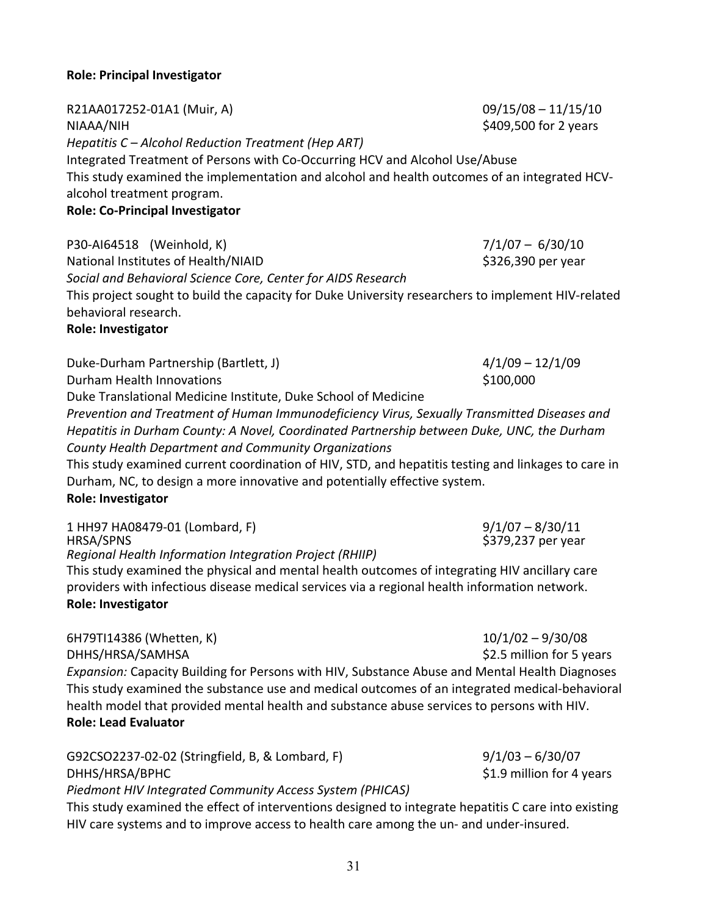# **Role: Principal Investigator**

R21AA017252‐01A1 (Muir, A) 09/15/08 – 11/15/10 NIAAA/NIH SALLA SERVERSE SERVERSE STATES OF THE SALLA SALLA SERVERSE STATES OF 2 years *Hepatitis C – Alcohol Reduction Treatment (Hep ART)* Integrated Treatment of Persons with Co‐Occurring HCV and Alcohol Use/Abuse This study examined the implementation and alcohol and health outcomes of an integrated HCV‐ alcohol treatment program. **Role: Co‐Principal Investigator**

P30‐AI64518 (Weinhold, K) 7/1/07 – 6/30/10 National Institutes of Health/NIAID 3326,390 per year *Social and Behavioral Science Core, Center for AIDS Research*  This project sought to build the capacity for Duke University researchers to implement HIV‐related behavioral research. **Role: Investigator**

# Duke‐Durham Partnership (Bartlett, J) 4/1/09 – 12/1/09 Durham Health Innovations **by the COV COVID-10000** COVID-100,000 Duke Translational Medicine Institute, Duke School of Medicine *Prevention and Treatment of Human Immunodeficiency Virus, Sexually Transmitted Diseases and Hepatitis in Durham County: A Novel, Coordinated Partnership between Duke, UNC, the Durham*

*County Health Department and Community Organizations* This study examined current coordination of HIV, STD, and hepatitis testing and linkages to care in Durham, NC, to design a more innovative and potentially effective system. **Role: Investigator**

| 1 HH97 HA08479-01 (Lombard, F)                          | $9/1/07 - 8/30/11$ |
|---------------------------------------------------------|--------------------|
| HRSA/SPNS                                               | \$379,237 per year |
| Regional Health Information Integration Project (RHIIP) |                    |

This study examined the physical and mental health outcomes of integrating HIV ancillary care providers with infectious disease medical services via a regional health information network. **Role: Investigator**

6H79TI14386 (Whetten, K) 10/1/02 – 9/30/08 DHHS/HRSA/SAMHSA \$2.5 million for 5 years *Expansion:* Capacity Building for Persons with HIV, Substance Abuse and Mental Health Diagnoses This study examined the substance use and medical outcomes of an integrated medical‐behavioral health model that provided mental health and substance abuse services to persons with HIV. **Role: Lead Evaluator**

| G92CSO2237-02-02 (Stringfield, B, & Lombard, F)          | $9/1/03 - 6/30/07$        |
|----------------------------------------------------------|---------------------------|
| DHHS/HRSA/BPHC                                           | \$1.9 million for 4 years |
| Piedmont HIV Integrated Community Access System (PHICAS) |                           |

This study examined the effect of interventions designed to integrate hepatitis C care into existing HIV care systems and to improve access to health care among the un‐ and under‐insured.